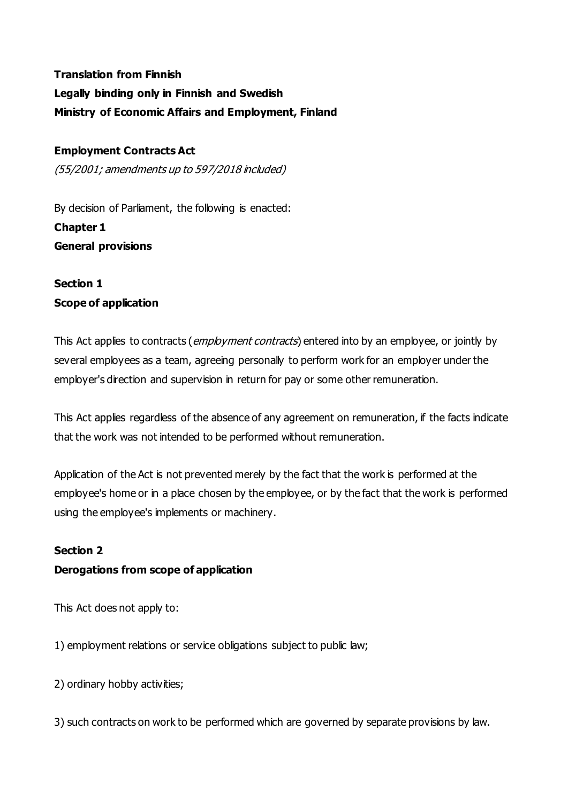# **Translation from Finnish Legally binding only in Finnish and Swedish Ministry of Economic Affairs and Employment, Finland**

### **Employment Contracts Act**

(55/2001; amendments up to 597/2018 included)

By decision of Parliament, the following is enacted: **Chapter 1 General provisions**

# **Section 1 Scope of application**

This Act applies to contracts (*employment contracts*) entered into by an employee, or jointly by several employees as a team, agreeing personally to perform work for an employer under the employer's direction and supervision in return for pay or some other remuneration.

This Act applies regardless of the absence of any agreement on remuneration, if the facts indicate that the work was not intended to be performed without remuneration.

Application of the Act is not prevented merely by the fact that the work is performed at the employee's home or in a place chosen by the employee, or by the fact that the work is performed using the employee's implements or machinery.

### **Section 2**

### **Derogations from scope of application**

This Act does not apply to:

1) employment relations or service obligations subject to public law;

2) ordinary hobby activities;

3) such contracts on work to be performed which are governed by separate provisions by law.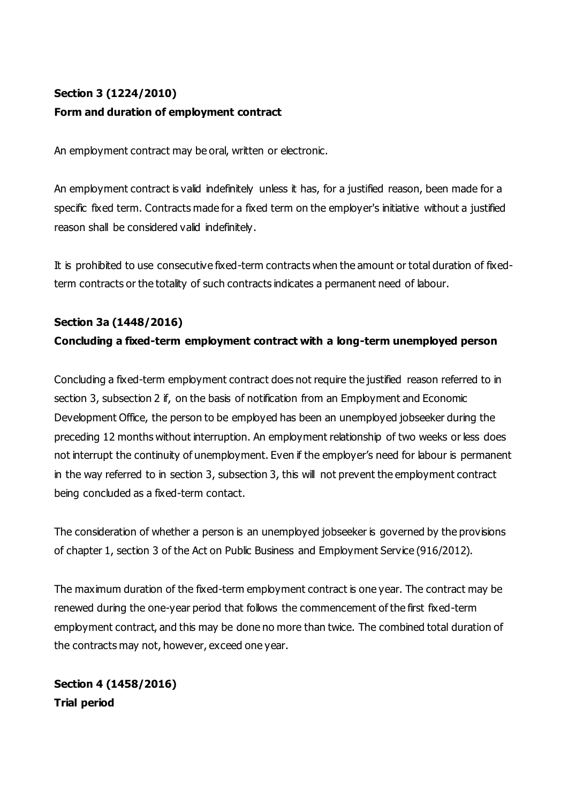# **Section 3 (1224/2010) Form and duration of employment contract**

An employment contract may be oral, written or electronic.

An employment contract is valid indefinitely unless it has, for a justified reason, been made for a specific fixed term. Contracts made for a fixed term on the employer's initiative without a justified reason shall be considered valid indefinitely.

It is prohibited to use consecutive fixed-term contracts when the amount or total duration of fixedterm contracts or the totality of such contracts indicates a permanent need of labour.

# **Section 3a (1448/2016) Concluding a fixed-term employment contract with a long-term unemployed person**

Concluding a fixed-term employment contract does not require the justified reason referred to in section 3, subsection 2 if, on the basis of notification from an Employment and Economic Development Office, the person to be employed has been an unemployed jobseeker during the preceding 12 months without interruption. An employment relationship of two weeks or less does not interrupt the continuity of unemployment. Even if the employer's need for labour is permanent in the way referred to in section 3, subsection 3, this will not prevent the employment contract being concluded as a fixed-term contact.

The consideration of whether a person is an unemployed jobseeker is governed by the provisions of chapter 1, section 3 of the Act on Public Business and Employment Service (916/2012).

The maximum duration of the fixed-term employment contract is one year. The contract may be renewed during the one-year period that follows the commencement of the first fixed-term employment contract, and this may be done no more than twice. The combined total duration of the contracts may not, however, exceed one year.

**Section 4 (1458/2016) Trial period**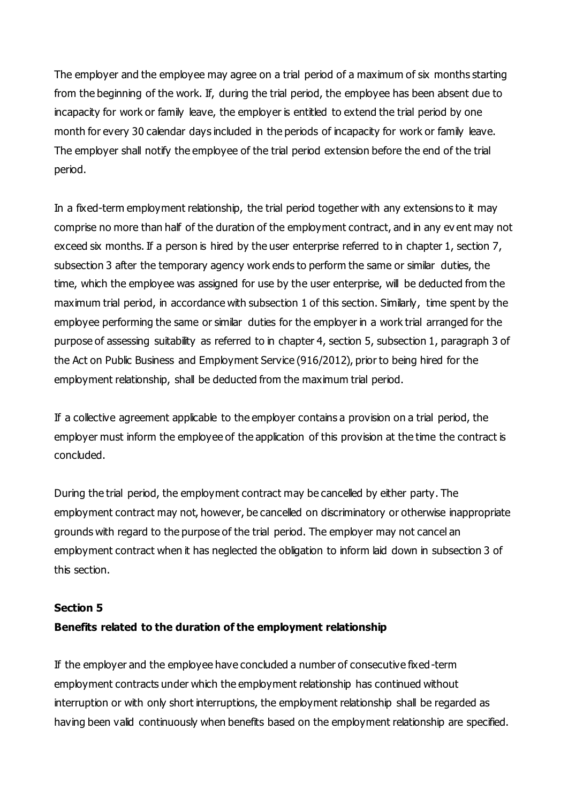The employer and the employee may agree on a trial period of a maximum of six months starting from the beginning of the work. If, during the trial period, the employee has been absent due to incapacity for work or family leave, the employer is entitled to extend the trial period by one month for every 30 calendar days included in the periods of incapacity for work or family leave. The employer shall notify the employee of the trial period extension before the end of the trial period.

In a fixed-term employment relationship, the trial period together with any extensions to it may comprise no more than half of the duration of the employment contract, and in any ev ent may not exceed six months. If a person is hired by the user enterprise referred to in chapter 1, section 7, subsection 3 after the temporary agency work ends to perform the same or similar duties, the time, which the employee was assigned for use by the user enterprise, will be deducted from the maximum trial period, in accordance with subsection 1 of this section. Similarly, time spent by the employee performing the same or similar duties for the employer in a work trial arranged for the purpose of assessing suitability as referred to in chapter 4, section 5, subsection 1, paragraph 3 of the Act on Public Business and Employment Service (916/2012), prior to being hired for the employment relationship, shall be deducted from the maximum trial period.

If a collective agreement applicable to the employer contains a provision on a trial period, the employer must inform the employee of the application of this provision at the time the contract is concluded.

During the trial period, the employment contract may be cancelled by either party. The employment contract may not, however, be cancelled on discriminatory or otherwise inappropriate grounds with regard to the purpose of the trial period. The employer may not cancel an employment contract when it has neglected the obligation to inform laid down in subsection 3 of this section.

#### **Section 5**

#### **Benefits related to the duration of the employment relationship**

If the employer and the employee have concluded a number of consecutive fixed-term employment contracts under which the employment relationship has continued without interruption or with only short interruptions, the employment relationship shall be regarded as having been valid continuously when benefits based on the employment relationship are specified.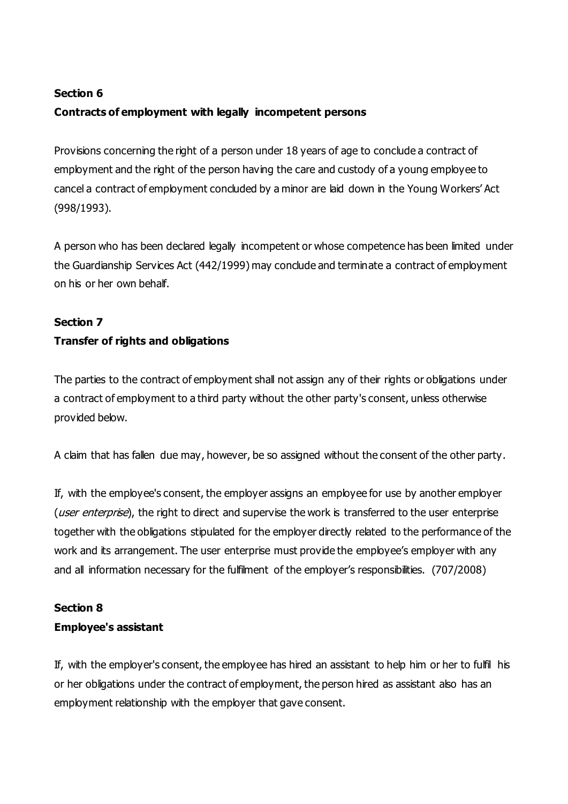# **Section 6 Contracts of employment with legally incompetent persons**

Provisions concerning the right of a person under 18 years of age to conclude a contract of employment and the right of the person having the care and custody of a young employee to cancel a contract of employment concluded by a minor are laid down in the Young Workers' Act (998/1993).

A person who has been declared legally incompetent or whose competence has been limited under the Guardianship Services Act (442/1999) may conclude and terminate a contract of employment on his or her own behalf.

### **Section 7**

## **Transfer of rights and obligations**

The parties to the contract of employment shall not assign any of their rights or obligations under a contract of employment to a third party without the other party's consent, unless otherwise provided below.

A claim that has fallen due may, however, be so assigned without the consent of the other party.

If, with the employee's consent, the employer assigns an employee for use by another employer (*user enterprise*), the right to direct and supervise the work is transferred to the user enterprise together with the obligations stipulated for the employer directly related to the performance of the work and its arrangement. The user enterprise must provide the employee's employer with any and all information necessary for the fulfilment of the employer's responsibilities. (707/2008)

#### **Section 8**

### **Employee's assistant**

If, with the employer's consent, the employee has hired an assistant to help him or her to fulfil his or her obligations under the contract of employment, the person hired as assistant also has an employment relationship with the employer that gave consent.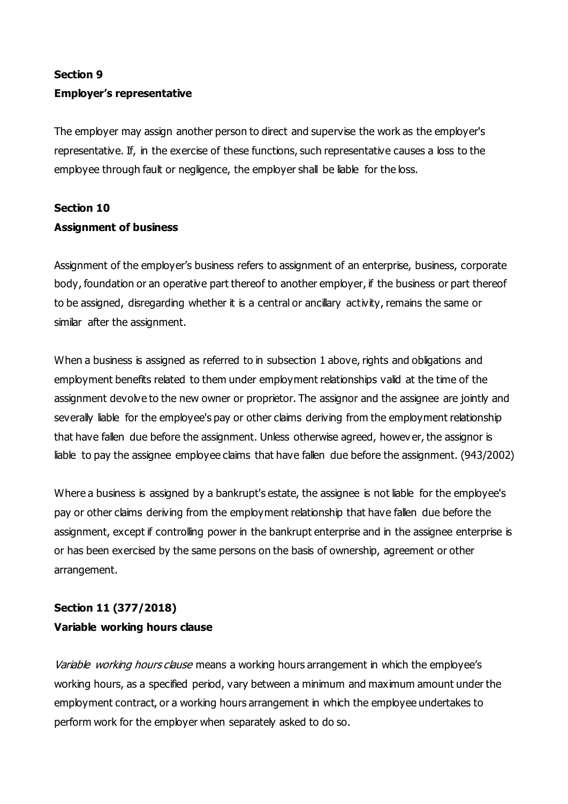# **Section 9 Employer's representative**

The employer may assign another person to direct and supervise the work as the employer's representative. If, in the exercise of these functions, such representative causes a loss to the employee through fault or negligence, the employer shall be liable for the loss.

# **Section 10 Assignment of business**

Assignment of the employer's business refers to assignment of an enterprise, business, corporate body, foundation or an operative part thereof to another employer, if the business or part thereof to be assigned, disregarding whether it is a central or ancillary activity, remains the same or similar after the assignment.

When a business is assigned as referred to in subsection 1 above, rights and obligations and employment benefits related to them under employment relationships valid at the time of the assignment devolve to the new owner or proprietor. The assignor and the assignee are jointly and severally liable for the employee's pay or other claims deriving from the employment relationship that have fallen due before the assignment. Unless otherwise agreed, howev er, the assignor is liable to pay the assignee employee claims that have fallen due before the assignment. (943/2002)

Where a business is assigned by a bankrupt's estate, the assignee is not liable for the employee's pay or other claims deriving from the employment relationship that have fallen due before the assignment, except if controlling power in the bankrupt enterprise and in the assignee enterprise is or has been exercised by the same persons on the basis of ownership, agreement or other arrangement.

# **Section 11 (377/2018) Variable working hours clause**

Variable working hours clause means a working hours arrangement in which the employee's working hours, as a specified period, vary between a minimum and maximum amount under the employment contract, or a working hours arrangement in which the employee undertakes to perform work for the employer when separately asked to do so.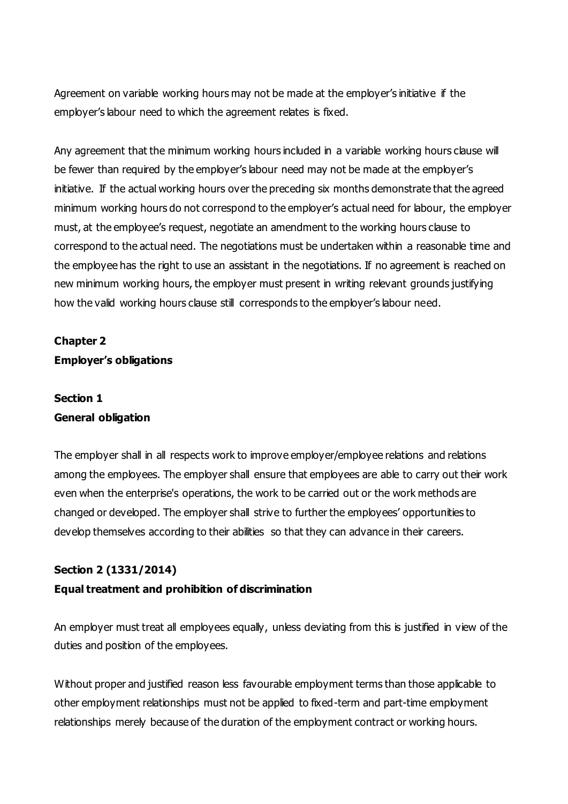Agreement on variable working hours may not be made at the employer's initiative if the employer's labour need to which the agreement relates is fixed.

Any agreement that the minimum working hours included in a variable working hours clause will be fewer than required by the employer's labour need may not be made at the employer's initiative. If the actual working hours over the preceding six months demonstrate that the agreed minimum working hours do not correspond to the employer's actual need for labour, the employer must, at the employee's request, negotiate an amendment to the working hours clause to correspond to the actual need. The negotiations must be undertaken within a reasonable time and the employee has the right to use an assistant in the negotiations. If no agreement is reached on new minimum working hours, the employer must present in writing relevant grounds justifying how the valid working hours clause still corresponds to the employer's labour need.

# **Chapter 2 Employer's obligations**

# **Section 1 General obligation**

The employer shall in all respects work to improve employer/employee relations and relations among the employees. The employer shall ensure that employees are able to carry out their work even when the enterprise's operations, the work to be carried out or the work methods are changed or developed. The employer shall strive to further the employees' opportunities to develop themselves according to their abilities so that they can advance in their careers.

### **Section 2 (1331/2014)**

#### **Equal treatment and prohibition of discrimination**

An employer must treat all employees equally, unless deviating from this is justified in view of the duties and position of the employees.

Without proper and justified reason less favourable employment terms than those applicable to other employment relationships must not be applied to fixed-term and part-time employment relationships merely because of the duration of the employment contract or working hours.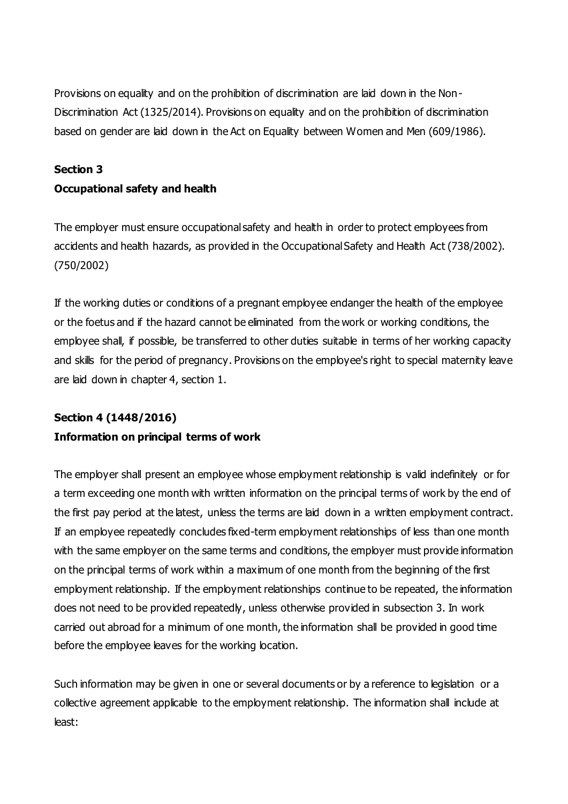Provisions on equality and on the prohibition of discrimination are laid down in the Non-Discrimination Act (1325/2014). Provisions on equality and on the prohibition of discrimination based on gender are laid down in the Act on Equality between Women and Men (609/1986).

#### **Section 3**

#### **Occupational safety and health**

The employer must ensure occupational safety and health in order to protect employees from accidents and health hazards, as provided in the Occupational Safety and Health Act (738/2002). (750/2002)

If the working duties or conditions of a pregnant employee endanger the health of the employee or the foetus and if the hazard cannot be eliminated from the work or working conditions, the employee shall, if possible, be transferred to other duties suitable in terms of her working capacity and skills for the period of pregnancy. Provisions on the employee's right to special maternity leave are laid down in chapter 4, section 1.

# **Section 4 (1448/2016) Information on principal terms of work**

The employer shall present an employee whose employment relationship is valid indefinitely or for a term exceeding one month with written information on the principal terms of work by the end of the first pay period at the latest, unless the terms are laid down in a written employment contract. If an employee repeatedly concludes fixed-term employment relationships of less than one month with the same employer on the same terms and conditions, the employer must provide information on the principal terms of work within a maximum of one month from the beginning of the first employment relationship. If the employment relationships continue to be repeated, the information does not need to be provided repeatedly, unless otherwise provided in subsection 3. In work carried out abroad for a minimum of one month, the information shall be provided in good time before the employee leaves for the working location.

Such information may be given in one or several documents or by a reference to legislation or a collective agreement applicable to the employment relationship. The information shall include at least: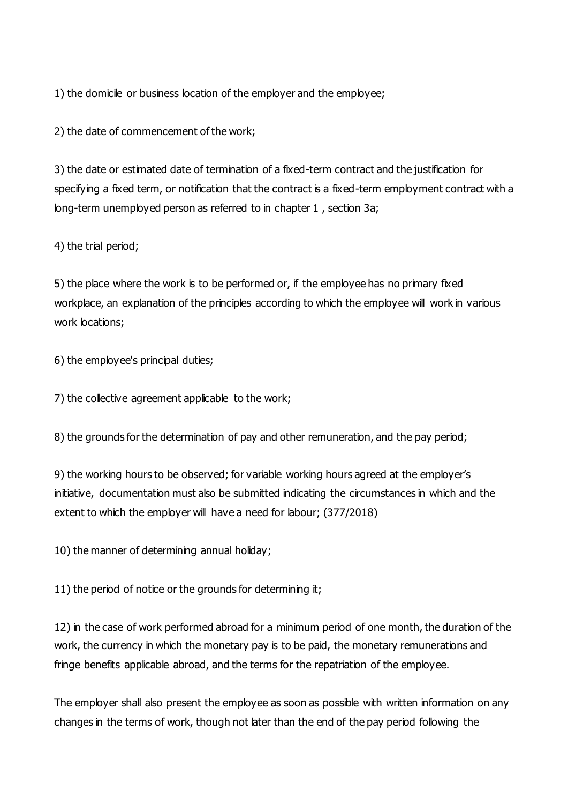1) the domicile or business location of the employer and the employee;

2) the date of commencement of the work;

3) the date or estimated date of termination of a fixed-term contract and the justification for specifying a fixed term, or notification that the contract is a fixed-term employment contract with a long-term unemployed person as referred to in chapter 1 , section 3a;

4) the trial period;

5) the place where the work is to be performed or, if the employee has no primary fixed workplace, an explanation of the principles according to which the employee will work in various work locations;

6) the employee's principal duties;

7) the collective agreement applicable to the work;

8) the grounds for the determination of pay and other remuneration, and the pay period;

9) the working hours to be observed; for variable working hours agreed at the employer's initiative, documentation must also be submitted indicating the circumstances in which and the extent to which the employer will have a need for labour; (377/2018)

10) the manner of determining annual holiday;

11) the period of notice or the grounds for determining it;

12) in the case of work performed abroad for a minimum period of one month, the duration of the work, the currency in which the monetary pay is to be paid, the monetary remunerations and fringe benefits applicable abroad, and the terms for the repatriation of the employee.

The employer shall also present the employee as soon as possible with written information on any changes in the terms of work, though not later than the end of the pay period following the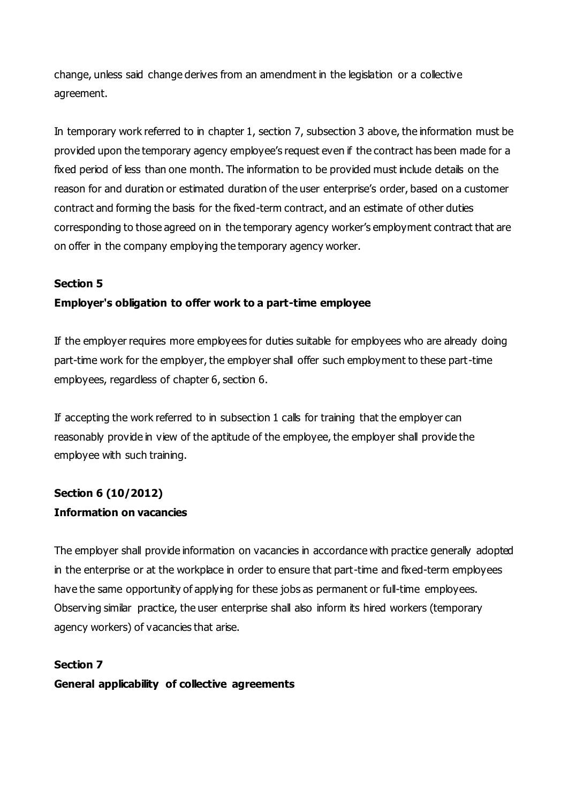change, unless said change derives from an amendment in the legislation or a collective agreement.

In temporary work referred to in chapter 1, section 7, subsection 3 above, the information must be provided upon the temporary agency employee's request even if the contract has been made for a fixed period of less than one month. The information to be provided must include details on the reason for and duration or estimated duration of the user enterprise's order, based on a customer contract and forming the basis for the fixed-term contract, and an estimate of other duties corresponding to those agreed on in the temporary agency worker's employment contract that are on offer in the company employing the temporary agency worker.

### **Section 5**

### **Employer's obligation to offer work to a part-time employee**

If the employer requires more employees for duties suitable for employees who are already doing part-time work for the employer, the employer shall offer such employment to these part-time employees, regardless of chapter 6, section 6.

If accepting the work referred to in subsection 1 calls for training that the employer can reasonably provide in view of the aptitude of the employee, the employer shall provide the employee with such training.

# **Section 6 (10/2012) Information on vacancies**

The employer shall provide information on vacancies in accordance with practice generally adopted in the enterprise or at the workplace in order to ensure that part-time and fixed-term employees have the same opportunity of applying for these jobs as permanent or full-time employees. Observing similar practice, the user enterprise shall also inform its hired workers (temporary agency workers) of vacancies that arise.

# **Section 7 General applicability of collective agreements**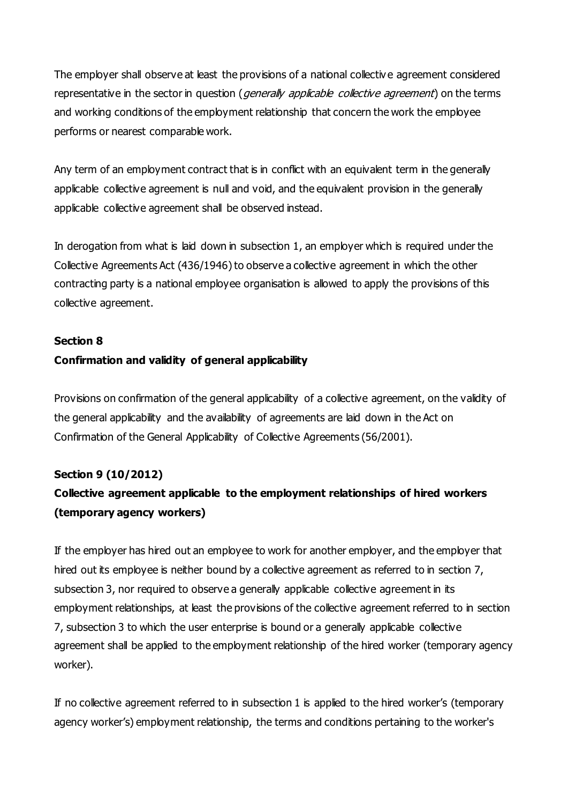The employer shall observe at least the provisions of a national collectiv e agreement considered representative in the sector in question (*generally applicable collective agreement*) on the terms and working conditions of the employment relationship that concern the work the employee performs or nearest comparable work.

Any term of an employment contract that is in conflict with an equivalent term in the generally applicable collective agreement is null and void, and the equivalent provision in the generally applicable collective agreement shall be observed instead.

In derogation from what is laid down in subsection 1, an employer which is required under the Collective Agreements Act (436/1946) to observe a collective agreement in which the other contracting party is a national employee organisation is allowed to apply the provisions of this collective agreement.

#### **Section 8**

#### **Confirmation and validity of general applicability**

Provisions on confirmation of the general applicability of a collective agreement, on the validity of the general applicability and the availability of agreements are laid down in the Act on Confirmation of the General Applicability of Collective Agreements (56/2001).

#### **Section 9 (10/2012)**

# **Collective agreement applicable to the employment relationships of hired workers (temporary agency workers)**

If the employer has hired out an employee to work for another employer, and the employer that hired out its employee is neither bound by a collective agreement as referred to in section 7, subsection 3, nor required to observe a generally applicable collective agreement in its employment relationships, at least the provisions of the collective agreement referred to in section 7, subsection 3 to which the user enterprise is bound or a generally applicable collective agreement shall be applied to the employment relationship of the hired worker (temporary agency worker).

If no collective agreement referred to in subsection 1 is applied to the hired worker's (temporary agency worker's) employment relationship, the terms and conditions pertaining to the worker's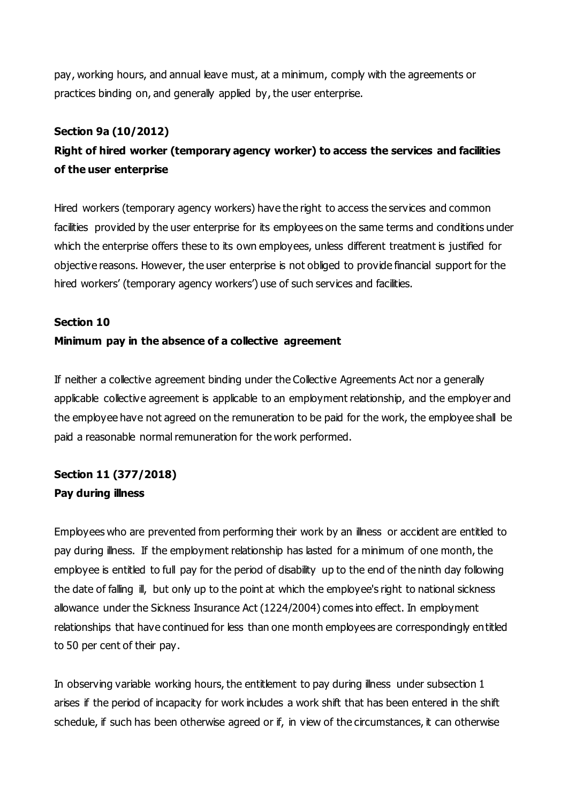pay, working hours, and annual leave must, at a minimum, comply with the agreements or practices binding on, and generally applied by, the user enterprise.

#### **Section 9a (10/2012)**

# **Right of hired worker (temporary agency worker) to access the services and facilities of the user enterprise**

Hired workers (temporary agency workers) have the right to access the services and common facilities provided by the user enterprise for its employees on the same terms and conditions under which the enterprise offers these to its own employees, unless different treatment is justified for objective reasons. However, the user enterprise is not obliged to provide financial support for the hired workers' (temporary agency workers') use of such services and facilities.

#### **Section 10**

#### **Minimum pay in the absence of a collective agreement**

If neither a collective agreement binding under the Collective Agreements Act nor a generally applicable collective agreement is applicable to an employment relationship, and the employer and the employee have not agreed on the remuneration to be paid for the work, the employee shall be paid a reasonable normal remuneration for the work performed.

# **Section 11 (377/2018) Pay during illness**

Employees who are prevented from performing their work by an illness or accident are entitled to pay during illness. If the employment relationship has lasted for a minimum of one month, the employee is entitled to full pay for the period of disability up to the end of the ninth day following the date of falling ill, but only up to the point at which the employee's right to national sickness allowance under the Sickness Insurance Act (1224/2004) comes into effect. In employment relationships that have continued for less than one month employees are correspondingly entitled to 50 per cent of their pay.

In observing variable working hours, the entitlement to pay during illness under subsection 1 arises if the period of incapacity for work includes a work shift that has been entered in the shift schedule, if such has been otherwise agreed or if, in view of the circumstances, it can otherwise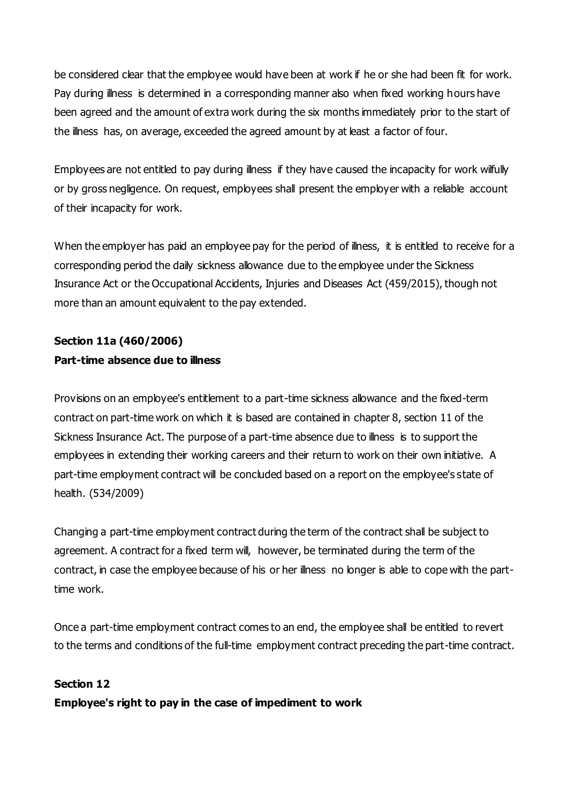be considered clear that the employee would have been at work if he or she had been fit for work. Pay during illness is determined in a corresponding manner also when fixed working hours have been agreed and the amount of extra work during the six months immediately prior to the start of the illness has, on average, exceeded the agreed amount by at least a factor of four.

Employees are not entitled to pay during illness if they have caused the incapacity for work wilfully or by gross negligence. On request, employees shall present the employer with a reliable account of their incapacity for work.

When the employer has paid an employee pay for the period of illness, it is entitled to receive for a corresponding period the daily sickness allowance due to the employee under the Sickness Insurance Act or the Occupational Accidents, Injuries and Diseases Act (459/2015), though not more than an amount equivalent to the pay extended.

# **Section 11a (460/2006) Part-time absence due to illness**

Provisions on an employee's entitlement to a part-time sickness allowance and the fixed-term contract on part-time work on which it is based are contained in chapter 8, section 11 of the Sickness Insurance Act. The purpose of a part-time absence due to illness is to support the employees in extending their working careers and their return to work on their own initiative. A part-time employment contract will be concluded based on a report on the employee's state of health. (534/2009)

Changing a part-time employment contract during the term of the contract shall be subject to agreement. A contract for a fixed term will, however, be terminated during the term of the contract, in case the employee because of his or her illness no longer is able to cope with the parttime work.

Once a part-time employment contract comes to an end, the employee shall be entitled to revert to the terms and conditions of the full-time employment contract preceding the part-time contract.

### **Section 12**

**Employee's right to pay in the case of impediment to work**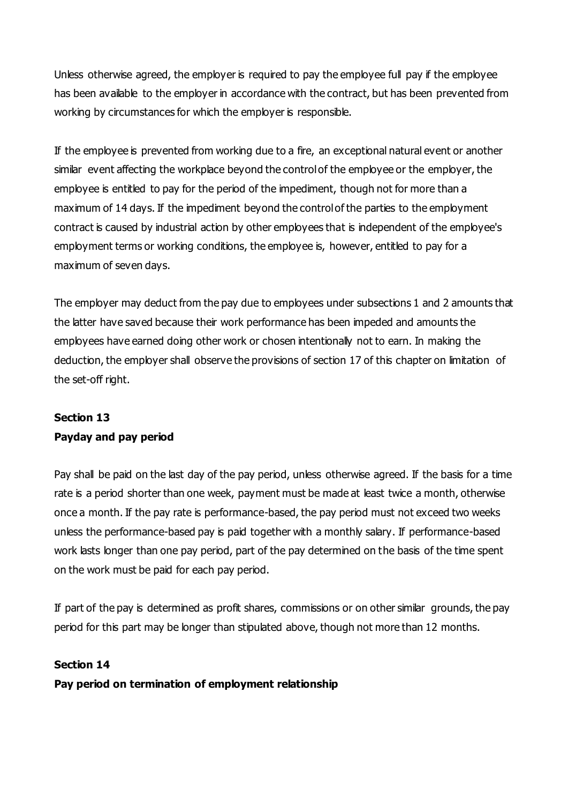Unless otherwise agreed, the employer is required to pay the employee full pay if the employee has been available to the employer in accordance with the contract, but has been prevented from working by circumstances for which the employer is responsible.

If the employee is prevented from working due to a fire, an exceptional natural event or another similar event affecting the workplace beyond the control of the employee or the employer, the employee is entitled to pay for the period of the impediment, though not for more than a maximum of 14 days. If the impediment beyond the control of the parties to the employment contract is caused by industrial action by other employees that is independent of the employee's employment terms or working conditions, the employee is, however, entitled to pay for a maximum of seven days.

The employer may deduct from the pay due to employees under subsections 1 and 2 amounts that the latter have saved because their work performance has been impeded and amounts the employees have earned doing other work or chosen intentionally not to earn. In making the deduction, the employer shall observe the provisions of section 17 of this chapter on limitation of the set-off right.

# **Section 13 Payday and pay period**

Pay shall be paid on the last day of the pay period, unless otherwise agreed. If the basis for a time rate is a period shorter than one week, payment must be made at least twice a month, otherwise once a month. If the pay rate is performance-based, the pay period must not exceed two weeks unless the performance-based pay is paid together with a monthly salary. If performance-based work lasts longer than one pay period, part of the pay determined on the basis of the time spent on the work must be paid for each pay period.

If part of the pay is determined as profit shares, commissions or on other similar grounds, the pay period for this part may be longer than stipulated above, though not more than 12 months.

### **Section 14**

**Pay period on termination of employment relationship**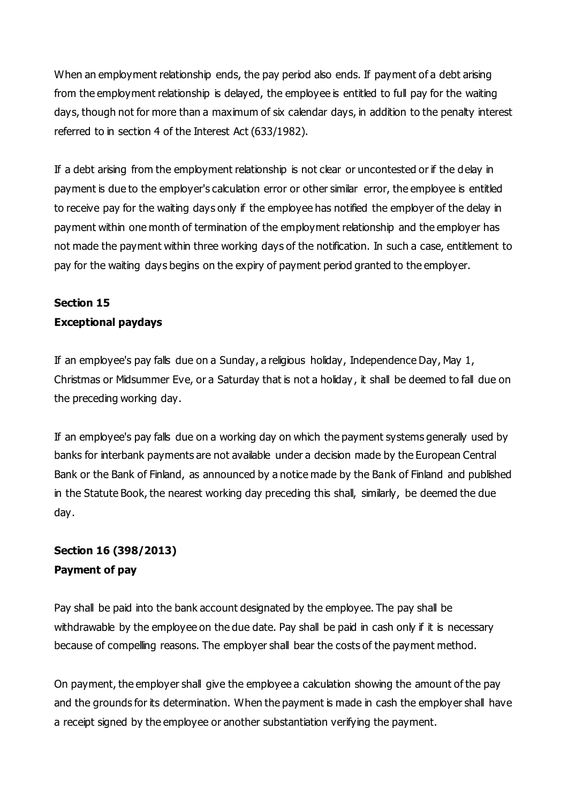When an employment relationship ends, the pay period also ends. If payment of a debt arising from the employment relationship is delayed, the employee is entitled to full pay for the waiting days, though not for more than a maximum of six calendar days, in addition to the penalty interest referred to in section 4 of the Interest Act (633/1982).

If a debt arising from the employment relationship is not clear or uncontested or if the delay in payment is due to the employer's calculation error or other similar error, the employee is entitled to receive pay for the waiting days only if the employee has notified the employer of the delay in payment within one month of termination of the employment relationship and the employer has not made the payment within three working days of the notification. In such a case, entitlement to pay for the waiting days begins on the expiry of payment period granted to the employer.

# **Section 15 Exceptional paydays**

If an employee's pay falls due on a Sunday, a religious holiday, Independence Day, May 1, Christmas or Midsummer Eve, or a Saturday that is not a holiday , it shall be deemed to fall due on the preceding working day.

If an employee's pay falls due on a working day on which the payment systems generally used by banks for interbank payments are not available under a decision made by the European Central Bank or the Bank of Finland, as announced by a notice made by the Bank of Finland and published in the Statute Book, the nearest working day preceding this shall, similarly, be deemed the due day.

# **Section 16 (398/2013) Payment of pay**

Pay shall be paid into the bank account designated by the employee. The pay shall be withdrawable by the employee on the due date. Pay shall be paid in cash only if it is necessary because of compelling reasons. The employer shall bear the costs of the payment method.

On payment, the employer shall give the employee a calculation showing the amount of the pay and the grounds for its determination. When the payment is made in cash the employer shall have a receipt signed by the employee or another substantiation verifying the payment.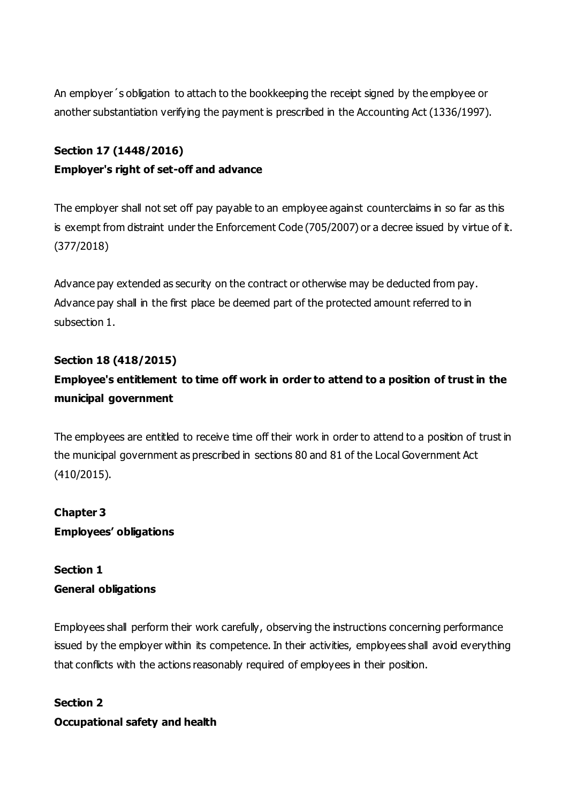An employer´s obligation to attach to the bookkeeping the receipt signed by the employee or another substantiation verifying the payment is prescribed in the Accounting Act (1336/1997).

### **Section 17 (1448/2016)**

### **Employer's right of set-off and advance**

The employer shall not set off pay payable to an employee against counterclaims in so far as this is exempt from distraint under the Enforcement Code (705/2007) or a decree issued by virtue of it. (377/2018)

Advance pay extended as security on the contract or otherwise may be deducted from pay. Advance pay shall in the first place be deemed part of the protected amount referred to in subsection 1.

### **Section 18 (418/2015)**

# **Employee's entitlement to time off work in order to attend to a position of trust in the municipal government**

The employees are entitled to receive time off their work in order to attend to a position of trust in the municipal government as prescribed in sections 80 and 81 of the Local Government Act (410/2015).

**Chapter 3 Employees' obligations**

# **Section 1 General obligations**

Employees shall perform their work carefully, observing the instructions concerning performance issued by the employer within its competence. In their activities, employees shall avoid everything that conflicts with the actions reasonably required of employees in their position.

**Section 2 Occupational safety and health**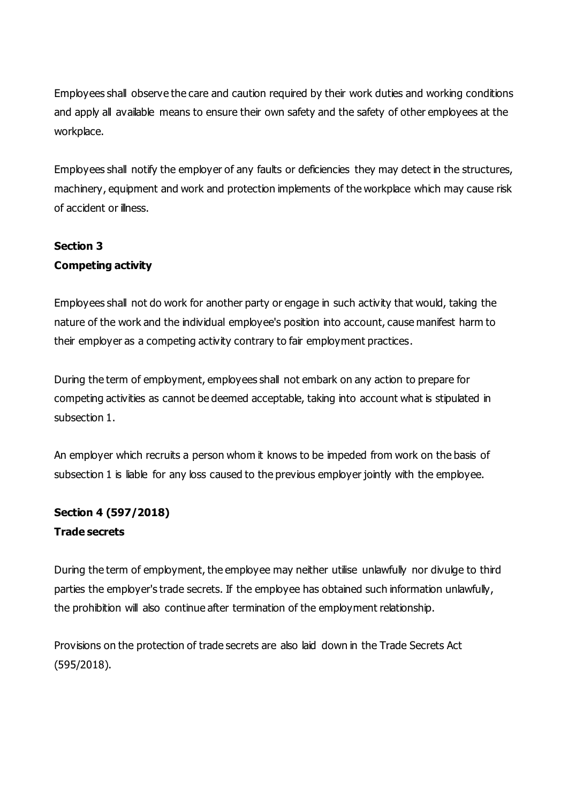Employees shall observe the care and caution required by their work duties and working conditions and apply all available means to ensure their own safety and the safety of other employees at the workplace.

Employees shall notify the employer of any faults or deficiencies they may detect in the structures, machinery, equipment and work and protection implements of the workplace which may cause risk of accident or illness.

# **Section 3 Competing activity**

Employees shall not do work for another party or engage in such activity that would, taking the nature of the work and the individual employee's position into account, cause manifest harm to their employer as a competing activity contrary to fair employment practices.

During the term of employment, employees shall not embark on any action to prepare for competing activities as cannot be deemed acceptable, taking into account what is stipulated in subsection 1.

An employer which recruits a person whom it knows to be impeded from work on the basis of subsection 1 is liable for any loss caused to the previous employer jointly with the employee.

# **Section 4 (597/2018) Trade secrets**

During the term of employment, the employee may neither utilise unlawfully nor divulge to third parties the employer's trade secrets. If the employee has obtained such information unlawfully, the prohibition will also continue after termination of the employment relationship.

Provisions on the protection of trade secrets are also laid down in the Trade Secrets Act (595/2018).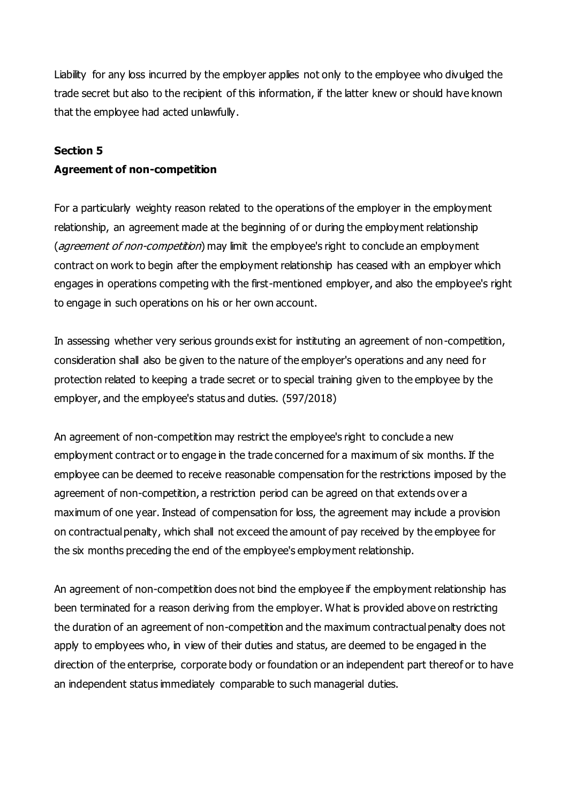Liability for any loss incurred by the employer applies not only to the employee who divulged the trade secret but also to the recipient of this information, if the latter knew or should have known that the employee had acted unlawfully.

#### **Section 5**

#### **Agreement of non-competition**

For a particularly weighty reason related to the operations of the employer in the employment relationship, an agreement made at the beginning of or during the employment relationship (*agreement of non-competition*) may limit the employee's right to conclude an employment contract on work to begin after the employment relationship has ceased with an employer which engages in operations competing with the first-mentioned employer, and also the employee's right to engage in such operations on his or her own account.

In assessing whether very serious grounds exist for instituting an agreement of non-competition, consideration shall also be given to the nature of the employer's operations and any need for protection related to keeping a trade secret or to special training given to the employee by the employer, and the employee's status and duties. (597/2018)

An agreement of non-competition may restrict the employee's right to conclude a new employment contract or to engage in the trade concerned for a maximum of six months. If the employee can be deemed to receive reasonable compensation for the restrictions imposed by the agreement of non-competition, a restriction period can be agreed on that extends ov er a maximum of one year. Instead of compensation for loss, the agreement may include a provision on contractual penalty, which shall not exceed the amount of pay received by the employee for the six months preceding the end of the employee's employment relationship.

An agreement of non-competition does not bind the employee if the employment relationship has been terminated for a reason deriving from the employer. What is provided above on restricting the duration of an agreement of non-competition and the maximum contractual penalty does not apply to employees who, in view of their duties and status, are deemed to be engaged in the direction of the enterprise, corporate body or foundation or an independent part thereof or to have an independent status immediately comparable to such managerial duties.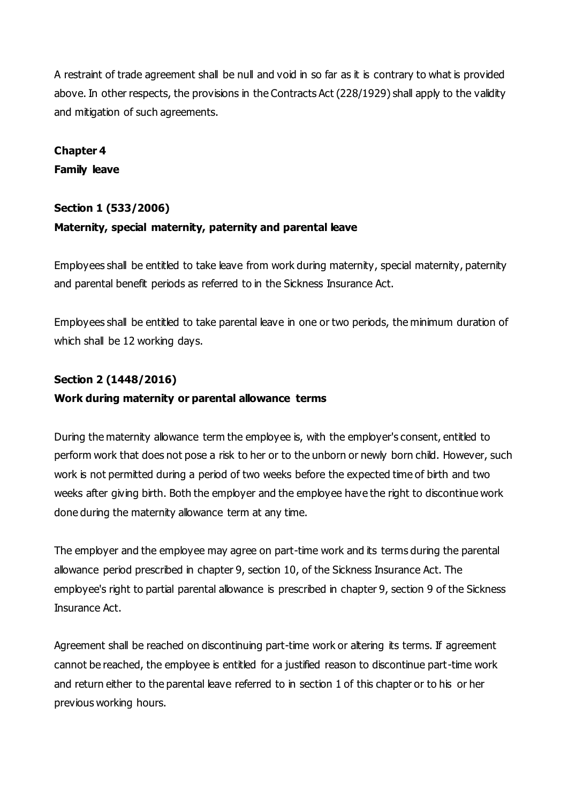A restraint of trade agreement shall be null and void in so far as it is contrary to what is provided above. In other respects, the provisions in the Contracts Act (228/1929) shall apply to the validity and mitigation of such agreements.

# **Chapter 4 Family leave**

### **Section 1 (533/2006)**

### **Maternity, special maternity, paternity and parental leave**

Employees shall be entitled to take leave from work during maternity, special maternity, paternity and parental benefit periods as referred to in the Sickness Insurance Act.

Employees shall be entitled to take parental leave in one or two periods, the minimum duration of which shall be 12 working days.

### **Section 2 (1448/2016)**

#### **Work during maternity or parental allowance terms**

During the maternity allowance term the employee is, with the employer's consent, entitled to perform work that does not pose a risk to her or to the unborn or newly born child. However, such work is not permitted during a period of two weeks before the expected time of birth and two weeks after giving birth. Both the employer and the employee have the right to discontinue work done during the maternity allowance term at any time.

The employer and the employee may agree on part-time work and its terms during the parental allowance period prescribed in chapter 9, section 10, of the Sickness Insurance Act. The employee's right to partial parental allowance is prescribed in chapter 9, section 9 of the Sickness Insurance Act.

Agreement shall be reached on discontinuing part-time work or altering its terms. If agreement cannot be reached, the employee is entitled for a justified reason to discontinue part-time work and return either to the parental leave referred to in section 1 of this chapter or to his or her previous working hours.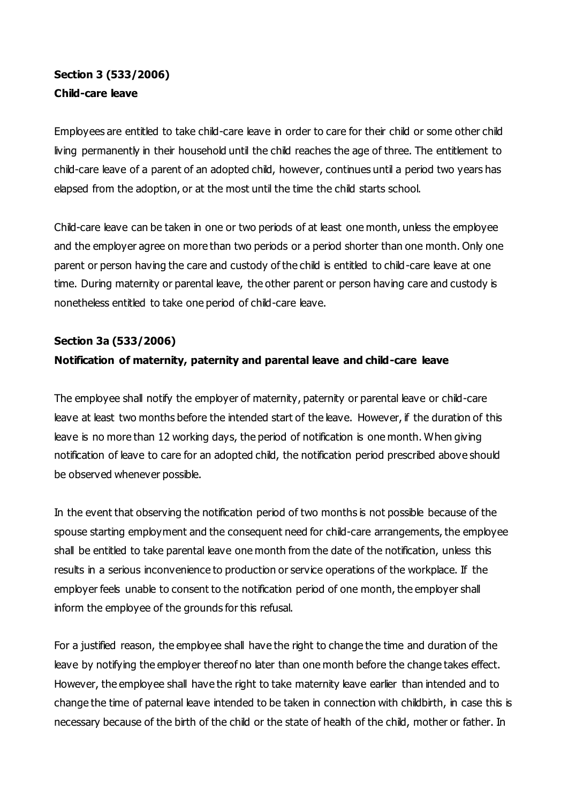# **Section 3 (533/2006) Child-care leave**

Employees are entitled to take child-care leave in order to care for their child or some other child living permanently in their household until the child reaches the age of three. The entitlement to child-care leave of a parent of an adopted child, however, continues until a period two years has elapsed from the adoption, or at the most until the time the child starts school.

Child-care leave can be taken in one or two periods of at least one month, unless the employee and the employer agree on more than two periods or a period shorter than one month. Only one parent or person having the care and custody of the child is entitled to child-care leave at one time. During maternity or parental leave, the other parent or person having care and custody is nonetheless entitled to take one period of child-care leave.

## **Section 3a (533/2006)**

## **Notification of maternity, paternity and parental leave and child-care leave**

The employee shall notify the employer of maternity, paternity or parental leave or child-care leave at least two months before the intended start of the leave. However, if the duration of this leave is no more than 12 working days, the period of notification is one month. When giving notification of leave to care for an adopted child, the notification period prescribed above should be observed whenever possible.

In the event that observing the notification period of two months is not possible because of the spouse starting employment and the consequent need for child-care arrangements, the employee shall be entitled to take parental leave one month from the date of the notification, unless this results in a serious inconvenience to production or service operations of the workplace. If the employer feels unable to consent to the notification period of one month, the employer shall inform the employee of the grounds for this refusal.

For a justified reason, the employee shall have the right to change the time and duration of the leave by notifying the employer thereof no later than one month before the change takes effect. However, the employee shall have the right to take maternity leave earlier than intended and to change the time of paternal leave intended to be taken in connection with childbirth, in case this is necessary because of the birth of the child or the state of health of the child, mother or father. In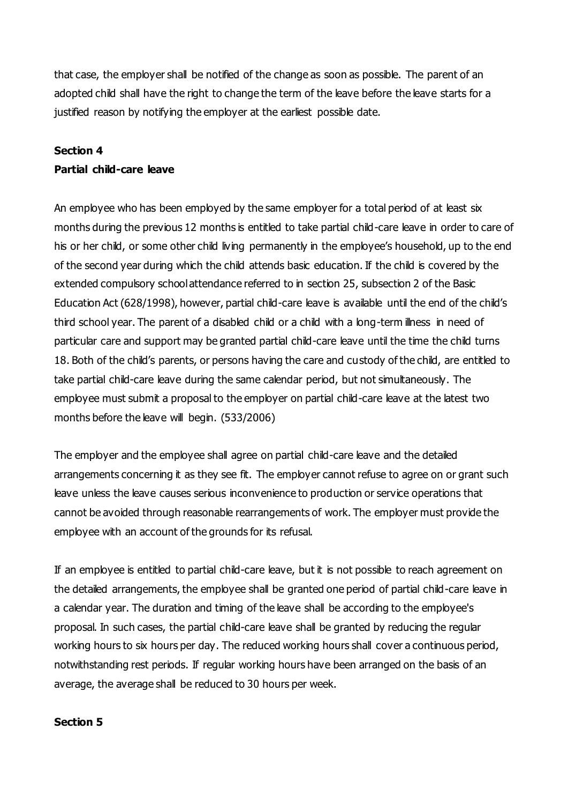that case, the employer shall be notified of the change as soon as possible. The parent of an adopted child shall have the right to change the term of the leave before the leave starts for a justified reason by notifying the employer at the earliest possible date.

#### **Section 4**

#### **Partial child-care leave**

An employee who has been employed by the same employer for a total period of at least six months during the previous 12 months is entitled to take partial child-care leave in order to care of his or her child, or some other child living permanently in the employee's household, up to the end of the second year during which the child attends basic education. If the child is covered by the extended compulsory school attendance referred to in section 25, subsection 2 of the Basic Education Act (628/1998), however, partial child-care leave is available until the end of the child's third school year. The parent of a disabled child or a child with a long-term illness in need of particular care and support may be granted partial child-care leave until the time the child turns 18. Both of the child's parents, or persons having the care and custody of the child, are entitled to take partial child-care leave during the same calendar period, but not simultaneously. The employee must submit a proposal to the employer on partial child-care leave at the latest two months before the leave will begin. (533/2006)

The employer and the employee shall agree on partial child-care leave and the detailed arrangements concerning it as they see fit. The employer cannot refuse to agree on or grant such leave unless the leave causes serious inconvenience to production or service operations that cannot be avoided through reasonable rearrangements of work. The employer must provide the employee with an account of the grounds for its refusal.

If an employee is entitled to partial child-care leave, but it is not possible to reach agreement on the detailed arrangements, the employee shall be granted one period of partial child-care leave in a calendar year. The duration and timing of the leave shall be according to the employee's proposal. In such cases, the partial child-care leave shall be granted by reducing the regular working hours to six hours per day. The reduced working hours shall cover a continuous period, notwithstanding rest periods. If regular working hours have been arranged on the basis of an average, the average shall be reduced to 30 hours per week.

#### **Section 5**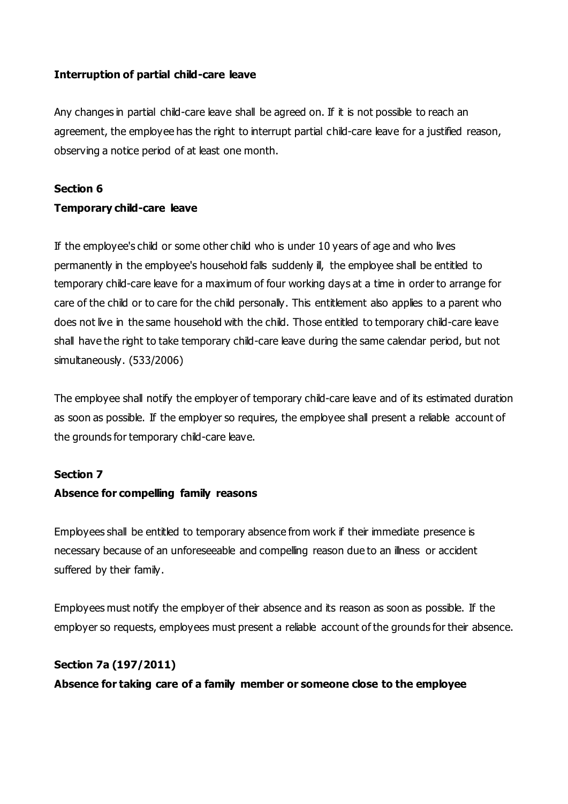#### **Interruption of partial child-care leave**

Any changes in partial child-care leave shall be agreed on. If it is not possible to reach an agreement, the employee has the right to interrupt partial child-care leave for a justified reason, observing a notice period of at least one month.

#### **Section 6**

#### **Temporary child-care leave**

If the employee's child or some other child who is under 10 years of age and who lives permanently in the employee's household falls suddenly ill, the employee shall be entitled to temporary child-care leave for a maximum of four working days at a time in order to arrange for care of the child or to care for the child personally. This entitlement also applies to a parent who does not live in the same household with the child. Those entitled to temporary child-care leave shall have the right to take temporary child-care leave during the same calendar period, but not simultaneously. (533/2006)

The employee shall notify the employer of temporary child-care leave and of its estimated duration as soon as possible. If the employer so requires, the employee shall present a reliable account of the grounds for temporary child-care leave.

#### **Section 7**

#### **Absence for compelling family reasons**

Employees shall be entitled to temporary absence from work if their immediate presence is necessary because of an unforeseeable and compelling reason due to an illness or accident suffered by their family.

Employees must notify the employer of their absence and its reason as soon as possible. If the employer so requests, employees must present a reliable account of the grounds for their absence.

#### **Section 7a (197/2011)**

**Absence for taking care of a family member or someone close to the employee**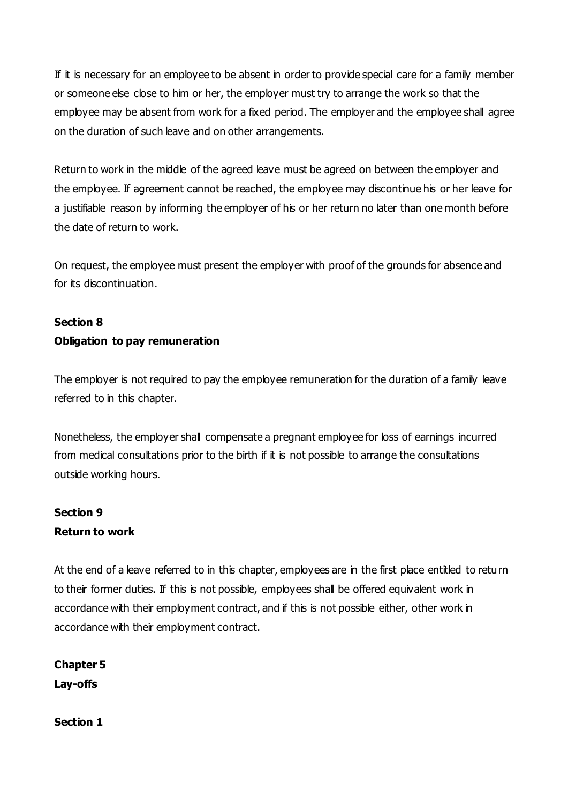If it is necessary for an employee to be absent in order to provide special care for a family member or someone else close to him or her, the employer must try to arrange the work so that the employee may be absent from work for a fixed period. The employer and the employee shall agree on the duration of such leave and on other arrangements.

Return to work in the middle of the agreed leave must be agreed on between the employer and the employee. If agreement cannot be reached, the employee may discontinue his or her leave for a justifiable reason by informing the employer of his or her return no later than one month before the date of return to work.

On request, the employee must present the employer with proof of the grounds for absence and for its discontinuation.

# **Section 8 Obligation to pay remuneration**

The employer is not required to pay the employee remuneration for the duration of a family leave referred to in this chapter.

Nonetheless, the employer shall compensate a pregnant employee for loss of earnings incurred from medical consultations prior to the birth if it is not possible to arrange the consultations outside working hours.

# **Section 9 Return to work**

At the end of a leave referred to in this chapter, employees are in the first place entitled to return to their former duties. If this is not possible, employees shall be offered equivalent work in accordance with their employment contract, and if this is not possible either, other work in accordance with their employment contract.

**Chapter 5 Lay-offs**

**Section 1**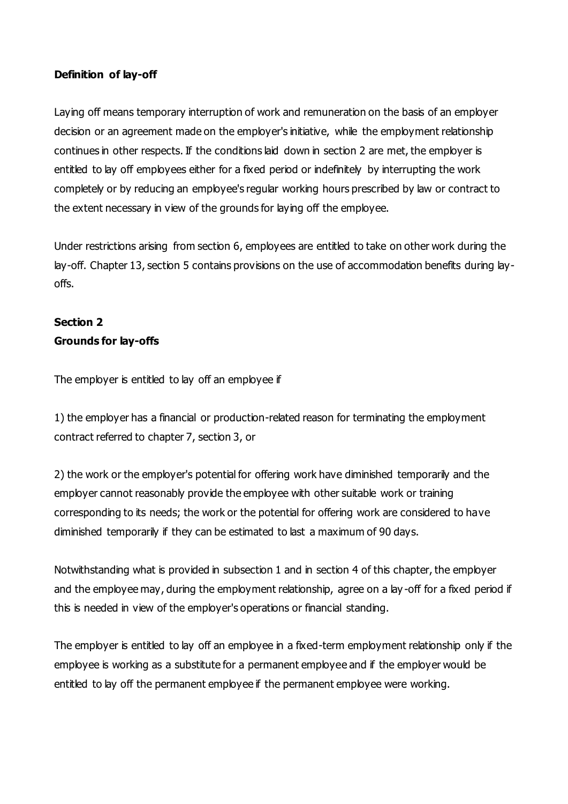#### **Definition of lay-off**

Laying off means temporary interruption of work and remuneration on the basis of an employer decision or an agreement made on the employer's initiative, while the employment relationship continues in other respects. If the conditions laid down in section 2 are met, the employer is entitled to lay off employees either for a fixed period or indefinitely by interrupting the work completely or by reducing an employee's regular working hours prescribed by law or contract to the extent necessary in view of the grounds for laying off the employee.

Under restrictions arising from section 6, employees are entitled to take on other work during the lay-off. Chapter 13, section 5 contains provisions on the use of accommodation benefits during layoffs.

# **Section 2 Grounds for lay-offs**

The employer is entitled to lay off an employee if

1) the employer has a financial or production-related reason for terminating the employment contract referred to chapter 7, section 3, or

2) the work or the employer's potential for offering work have diminished temporarily and the employer cannot reasonably provide the employee with other suitable work or training corresponding to its needs; the work or the potential for offering work are considered to have diminished temporarily if they can be estimated to last a maximum of 90 days.

Notwithstanding what is provided in subsection 1 and in section 4 of this chapter, the employer and the employee may, during the employment relationship, agree on a lay -off for a fixed period if this is needed in view of the employer's operations or financial standing.

The employer is entitled to lay off an employee in a fixed-term employment relationship only if the employee is working as a substitute for a permanent employee and if the employer would be entitled to lay off the permanent employee if the permanent employee were working.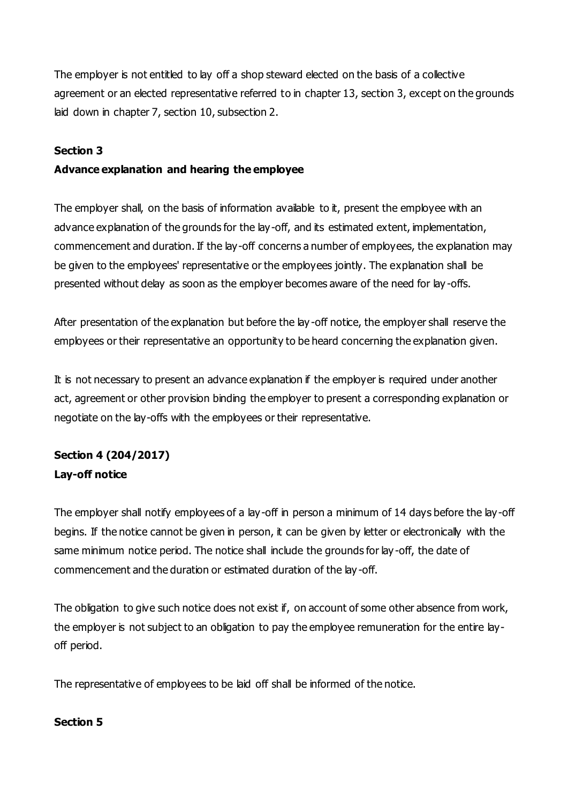The employer is not entitled to lay off a shop steward elected on the basis of a collective agreement or an elected representative referred to in chapter 13, section 3, except on the grounds laid down in chapter 7, section 10, subsection 2.

#### **Section 3**

### **Advance explanation and hearing the employee**

The employer shall, on the basis of information available to it, present the employee with an advance explanation of the grounds for the lay-off, and its estimated extent, implementation, commencement and duration. If the lay-off concerns a number of employees, the explanation may be given to the employees' representative or the employees jointly. The explanation shall be presented without delay as soon as the employer becomes aware of the need for lay -offs.

After presentation of the explanation but before the lay-off notice, the employer shall reserve the employees or their representative an opportunity to be heard concerning the explanation given.

It is not necessary to present an advance explanation if the employer is required under another act, agreement or other provision binding the employer to present a corresponding explanation or negotiate on the lay-offs with the employees or their representative.

# **Section 4 (204/2017) Lay-off notice**

The employer shall notify employees of a lay-off in person a minimum of 14 days before the lay-off begins. If the notice cannot be given in person, it can be given by letter or electronically with the same minimum notice period. The notice shall include the grounds for lay -off, the date of commencement and the duration or estimated duration of the lay -off.

The obligation to give such notice does not exist if, on account of some other absence from work, the employer is not subject to an obligation to pay the employee remuneration for the entire layoff period.

The representative of employees to be laid off shall be informed of the notice.

#### **Section 5**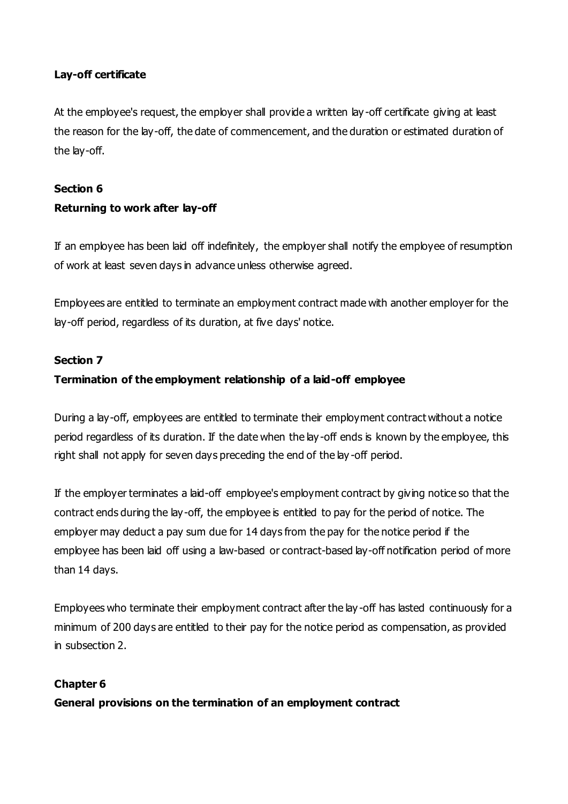### **Lay-off certificate**

At the employee's request, the employer shall provide a written lay -off certificate giving at least the reason for the lay-off, the date of commencement, and the duration or estimated duration of the lay-off.

#### **Section 6**

### **Returning to work after lay-off**

If an employee has been laid off indefinitely, the employer shall notify the employee of resumption of work at least seven days in advance unless otherwise agreed.

Employees are entitled to terminate an employment contract made with another employer for the lay-off period, regardless of its duration, at five days' notice.

#### **Section 7**

### **Termination of the employment relationship of a laid-off employee**

During a lay-off, employees are entitled to terminate their employment contract without a notice period regardless of its duration. If the date when the lay -off ends is known by the employee, this right shall not apply for seven days preceding the end of the lay -off period.

If the employer terminates a laid-off employee's employment contract by giving notice so that the contract ends during the lay-off, the employee is entitled to pay for the period of notice. The employer may deduct a pay sum due for 14 days from the pay for the notice period if the employee has been laid off using a law-based or contract-based lay-off notification period of more than 14 days.

Employees who terminate their employment contract after the lay -off has lasted continuously for a minimum of 200 days are entitled to their pay for the notice period as compensation, as provided in subsection 2.

#### **Chapter 6**

**General provisions on the termination of an employment contract**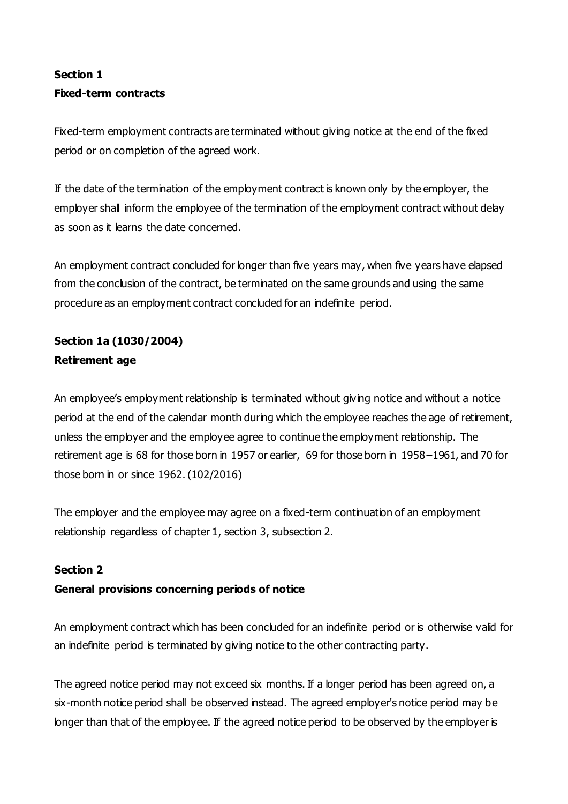# **Section 1 Fixed-term contracts**

Fixed-term employment contracts are terminated without giving notice at the end of the fixed period or on completion of the agreed work.

If the date of the termination of the employment contract is known only by the employer, the employer shall inform the employee of the termination of the employment contract without delay as soon as it learns the date concerned.

An employment contract concluded for longer than five years may, when five years have elapsed from the conclusion of the contract, be terminated on the same grounds and using the same procedure as an employment contract concluded for an indefinite period.

# **Section 1a (1030/2004) Retirement age**

An employee's employment relationship is terminated without giving notice and without a notice period at the end of the calendar month during which the employee reaches the age of retirement, unless the employer and the employee agree to continue the employment relationship. The retirement age is 68 for those born in 1957 or earlier, 69 for those born in 1958–1961, and 70 for those born in or since 1962. (102/2016)

The employer and the employee may agree on a fixed-term continuation of an employment relationship regardless of chapter 1, section 3, subsection 2.

### **Section 2**

### **General provisions concerning periods of notice**

An employment contract which has been concluded for an indefinite period or is otherwise valid for an indefinite period is terminated by giving notice to the other contracting party.

The agreed notice period may not exceed six months. If a longer period has been agreed on, a six-month notice period shall be observed instead. The agreed employer's notice period may be longer than that of the employee. If the agreed notice period to be observed by the employer is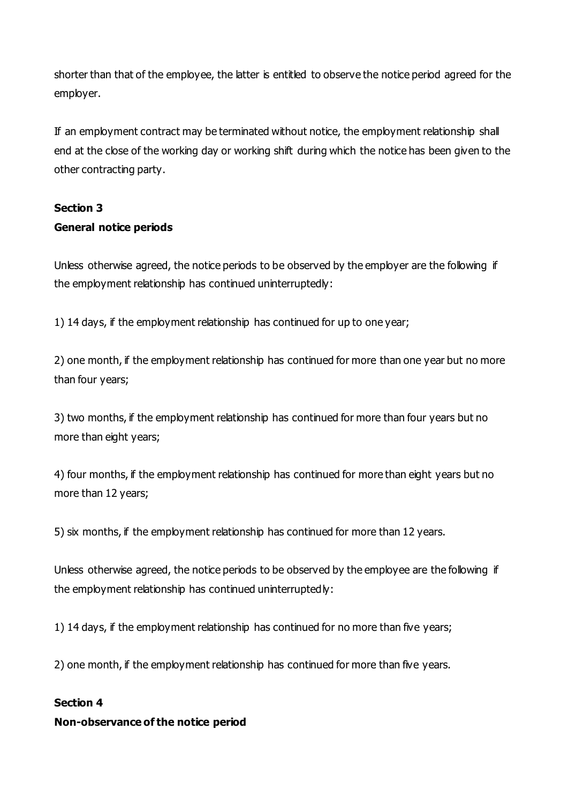shorter than that of the employee, the latter is entitled to observe the notice period agreed for the employer.

If an employment contract may be terminated without notice, the employment relationship shall end at the close of the working day or working shift during which the notice has been given to the other contracting party.

# **Section 3**

### **General notice periods**

Unless otherwise agreed, the notice periods to be observed by the employer are the following if the employment relationship has continued uninterruptedly:

1) 14 days, if the employment relationship has continued for up to one year;

2) one month, if the employment relationship has continued for more than one year but no more than four years;

3) two months, if the employment relationship has continued for more than four years but no more than eight years;

4) four months, if the employment relationship has continued for more than eight years but no more than 12 years;

5) six months, if the employment relationship has continued for more than 12 years.

Unless otherwise agreed, the notice periods to be observed by the employee are the following if the employment relationship has continued uninterruptedly:

1) 14 days, if the employment relationship has continued for no more than five years;

2) one month, if the employment relationship has continued for more than five years.

### **Section 4**

### **Non-observance of the notice period**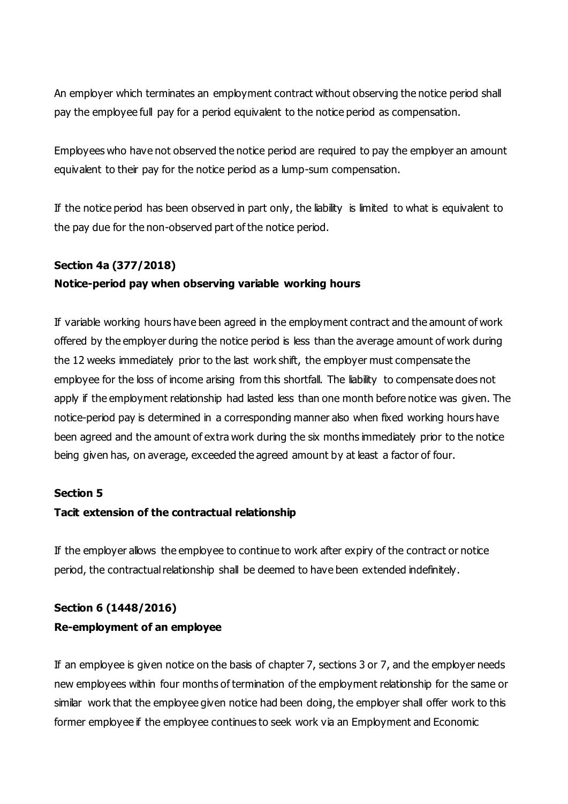An employer which terminates an employment contract without observing the notice period shall pay the employee full pay for a period equivalent to the notice period as compensation.

Employees who have not observed the notice period are required to pay the employer an amount equivalent to their pay for the notice period as a lump-sum compensation.

If the notice period has been observed in part only, the liability is limited to what is equivalent to the pay due for the non-observed part of the notice period.

### **Section 4a (377/2018)**

### **Notice-period pay when observing variable working hours**

If variable working hours have been agreed in the employment contract and the amount of work offered by the employer during the notice period is less than the average amount of work during the 12 weeks immediately prior to the last work shift, the employer must compensate the employee for the loss of income arising from this shortfall. The liability to compensate does not apply if the employment relationship had lasted less than one month before notice was given. The notice-period pay is determined in a corresponding manner also when fixed working hours have been agreed and the amount of extra work during the six months immediately prior to the notice being given has, on average, exceeded the agreed amount by at least a factor of four.

#### **Section 5**

#### **Tacit extension of the contractual relationship**

If the employer allows the employee to continue to work after expiry of the contract or notice period, the contractual relationship shall be deemed to have been extended indefinitely.

# **Section 6 (1448/2016) Re-employment of an employee**

If an employee is given notice on the basis of chapter 7, sections 3 or 7, and the employer needs new employees within four months of termination of the employment relationship for the same or similar work that the employee given notice had been doing, the employer shall offer work to this former employee if the employee continues to seek work via an Employment and Economic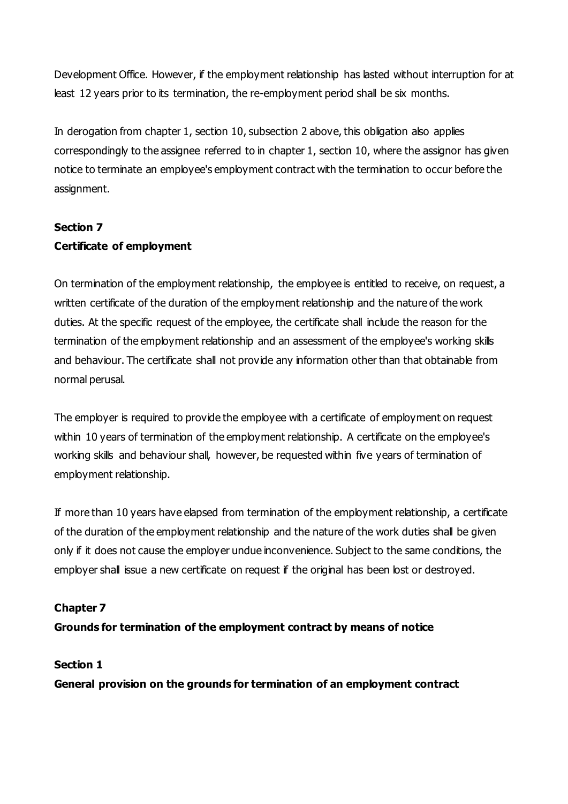Development Office. However, if the employment relationship has lasted without interruption for at least 12 years prior to its termination, the re-employment period shall be six months.

In derogation from chapter 1, section 10, subsection 2 above, this obligation also applies correspondingly to the assignee referred to in chapter 1, section 10, where the assignor has given notice to terminate an employee's employment contract with the termination to occur before the assignment.

# **Section 7 Certificate of employment**

On termination of the employment relationship, the employee is entitled to receive, on request, a written certificate of the duration of the employment relationship and the nature of the work duties. At the specific request of the employee, the certificate shall include the reason for the termination of the employment relationship and an assessment of the employee's working skills and behaviour. The certificate shall not provide any information other than that obtainable from normal perusal.

The employer is required to provide the employee with a certificate of employment on request within 10 years of termination of the employment relationship. A certificate on the employee's working skills and behaviour shall, however, be requested within five years of termination of employment relationship.

If more than 10 years have elapsed from termination of the employment relationship, a certificate of the duration of the employment relationship and the nature of the work duties shall be given only if it does not cause the employer undue inconvenience. Subject to the same conditions, the employer shall issue a new certificate on request if the original has been lost or destroyed.

### **Chapter 7**

#### **Grounds for termination of the employment contract by means of notice**

#### **Section 1**

**General provision on the grounds for termination of an employment contract**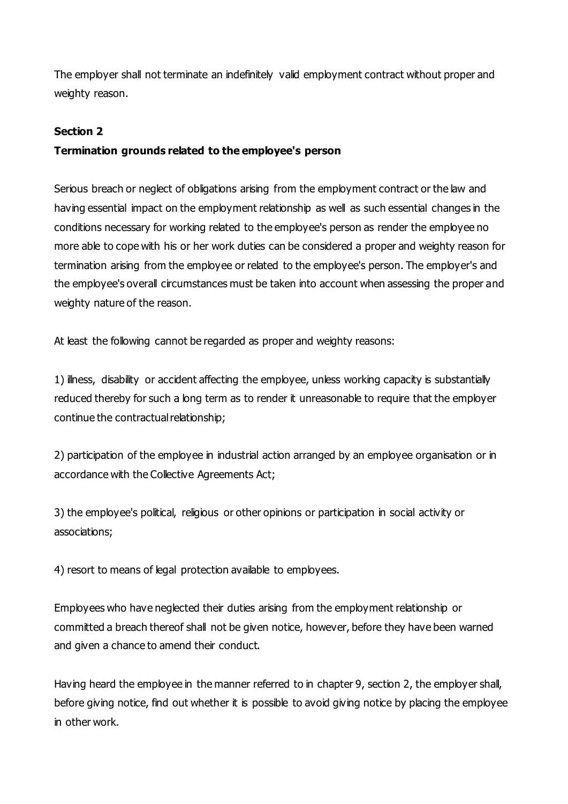The employer shall not terminate an indefinitely valid employment contract without proper and weighty reason.

#### **Section 2**

### **Termination grounds related to the employee's person**

Serious breach or neglect of obligations arising from the employment contract or the law and having essential impact on the employment relationship as well as such essential changes in the conditions necessary for working related to the employee's person as render the employee no more able to cope with his or her work duties can be considered a proper and weighty reason for termination arising from the employee or related to the employee's person. The employer's and the employee's overall circumstances must be taken into account when assessing the proper and weighty nature of the reason.

At least the following cannot be regarded as proper and weighty reasons:

1) illness, disability or accident affecting the employee, unless working capacity is substantially reduced thereby for such a long term as to render it unreasonable to require that the employer continue the contractual relationship;

2) participation of the employee in industrial action arranged by an employee organisation or in accordance with the Collective Agreements Act;

3) the employee's political, religious or other opinions or participation in social activity or associations;

4) resort to means of legal protection available to employees.

Employees who have neglected their duties arising from the employment relationship or committed a breach thereof shall not be given notice, however, before they have been warned and given a chance to amend their conduct.

Having heard the employee in the manner referred to in chapter 9, section 2, the employer shall, before giving notice, find out whether it is possible to avoid giving notice by placing the employee in other work.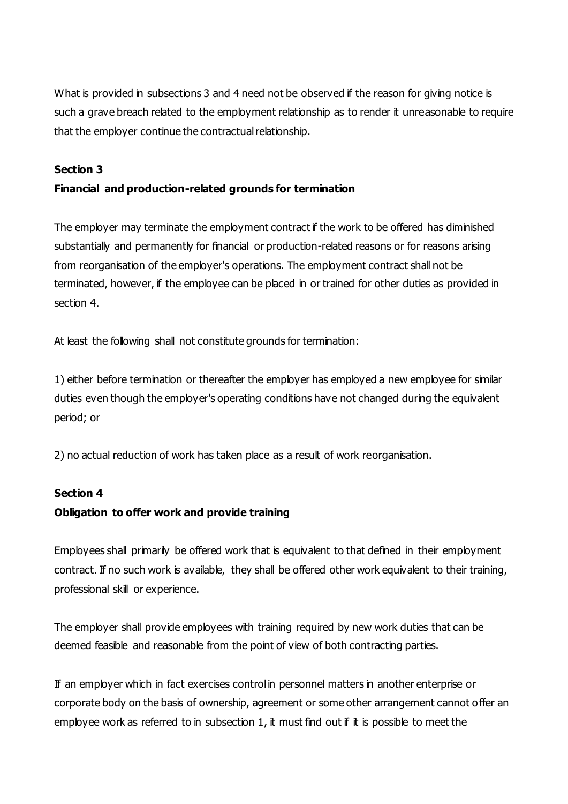What is provided in subsections 3 and 4 need not be observed if the reason for giving notice is such a grave breach related to the employment relationship as to render it unreasonable to require that the employer continue the contractual relationship.

#### **Section 3**

### **Financial and production-related grounds for termination**

The employer may terminate the employment contract if the work to be offered has diminished substantially and permanently for financial or production-related reasons or for reasons arising from reorganisation of the employer's operations. The employment contract shall not be terminated, however, if the employee can be placed in or trained for other duties as provided in section 4.

At least the following shall not constitute grounds for termination:

1) either before termination or thereafter the employer has employed a new employee for similar duties even though the employer's operating conditions have not changed during the equivalent period; or

2) no actual reduction of work has taken place as a result of work reorganisation.

#### **Section 4**

#### **Obligation to offer work and provide training**

Employees shall primarily be offered work that is equivalent to that defined in their employment contract. If no such work is available, they shall be offered other work equivalent to their training, professional skill or experience.

The employer shall provide employees with training required by new work duties that can be deemed feasible and reasonable from the point of view of both contracting parties.

If an employer which in fact exercises control in personnel matters in another enterprise or corporate body on the basis of ownership, agreement or some other arrangement cannot offer an employee work as referred to in subsection 1, it must find out if it is possible to meet the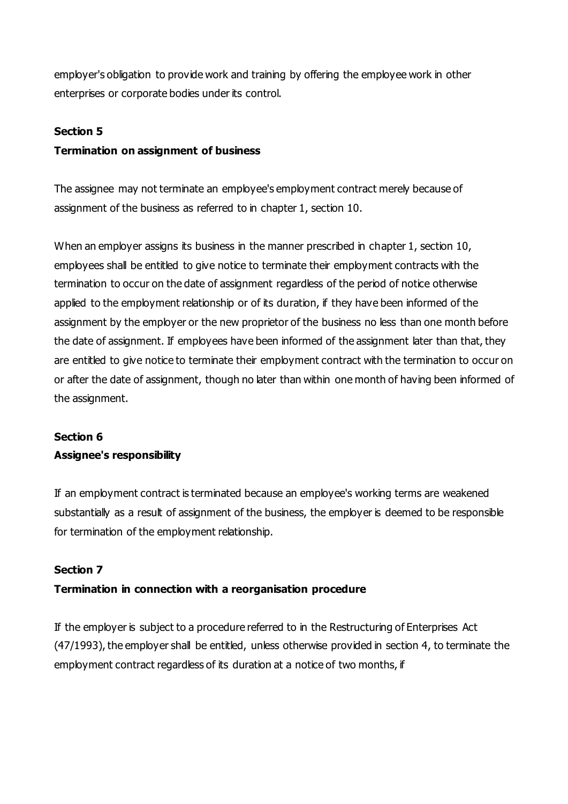employer's obligation to provide work and training by offering the employee work in other enterprises or corporate bodies under its control.

#### **Section 5**

### **Termination on assignment of business**

The assignee may not terminate an employee's employment contract merely because of assignment of the business as referred to in chapter 1, section 10.

When an employer assigns its business in the manner prescribed in chapter 1, section 10, employees shall be entitled to give notice to terminate their employment contracts with the termination to occur on the date of assignment regardless of the period of notice otherwise applied to the employment relationship or of its duration, if they have been informed of the assignment by the employer or the new proprietor of the business no less than one month before the date of assignment. If employees have been informed of the assignment later than that, they are entitled to give notice to terminate their employment contract with the termination to occur on or after the date of assignment, though no later than within one month of having been informed of the assignment.

# **Section 6 Assignee's responsibility**

If an employment contract is terminated because an employee's working terms are weakened substantially as a result of assignment of the business, the employer is deemed to be responsible for termination of the employment relationship.

### **Section 7**

### **Termination in connection with a reorganisation procedure**

If the employer is subject to a procedure referred to in the Restructuring of Enterprises Act (47/1993), the employer shall be entitled, unless otherwise provided in section 4, to terminate the employment contract regardless of its duration at a notice of two months, if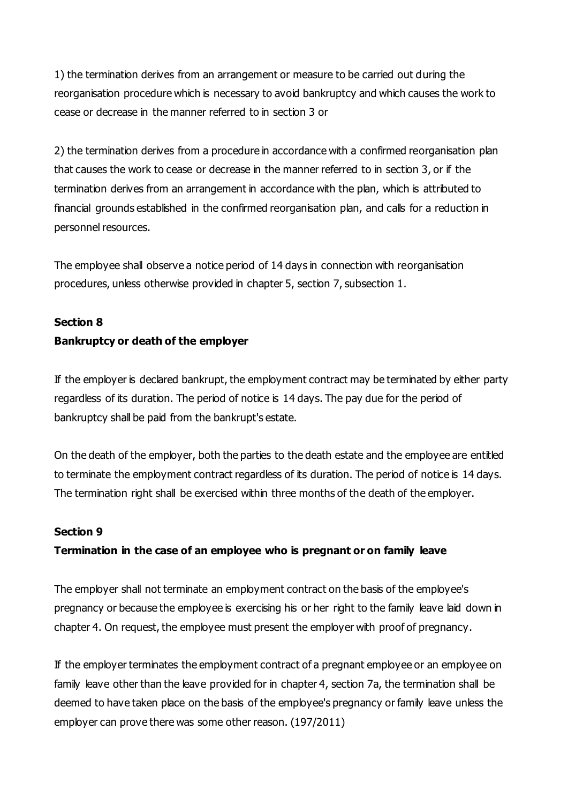1) the termination derives from an arrangement or measure to be carried out during the reorganisation procedure which is necessary to avoid bankruptcy and which causes the work to cease or decrease in the manner referred to in section 3 or

2) the termination derives from a procedure in accordance with a confirmed reorganisation plan that causes the work to cease or decrease in the manner referred to in section 3, or if the termination derives from an arrangement in accordance with the plan, which is attributed to financial grounds established in the confirmed reorganisation plan, and calls for a reduction in personnel resources.

The employee shall observe a notice period of 14 days in connection with reorganisation procedures, unless otherwise provided in chapter 5, section 7, subsection 1.

#### **Section 8**

#### **Bankruptcy or death of the employer**

If the employer is declared bankrupt, the employment contract may be terminated by either party regardless of its duration. The period of notice is 14 days. The pay due for the period of bankruptcy shall be paid from the bankrupt's estate.

On the death of the employer, both the parties to the death estate and the employee are entitled to terminate the employment contract regardless of its duration. The period of notice is 14 days. The termination right shall be exercised within three months of the death of the employer.

#### **Section 9**

#### **Termination in the case of an employee who is pregnant or on family leave**

The employer shall not terminate an employment contract on the basis of the employee's pregnancy or because the employee is exercising his or her right to the family leave laid down in chapter 4. On request, the employee must present the employer with proof of pregnancy.

If the employer terminates the employment contract of a pregnant employee or an employee on family leave other than the leave provided for in chapter 4, section 7a, the termination shall be deemed to have taken place on the basis of the employee's pregnancy or family leave unless the employer can prove there was some other reason. (197/2011)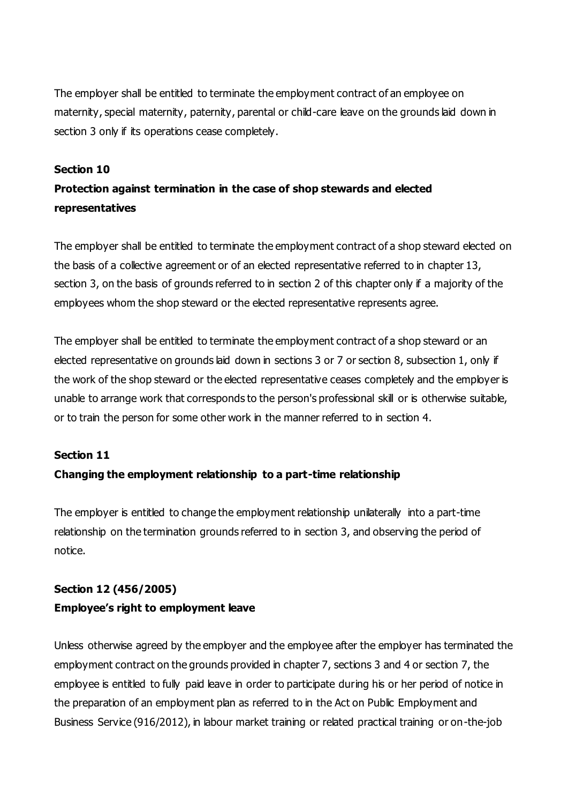The employer shall be entitled to terminate the employment contract of an employee on maternity, special maternity, paternity, parental or child-care leave on the grounds laid down in section 3 only if its operations cease completely.

#### **Section 10**

# **Protection against termination in the case of shop stewards and elected representatives**

The employer shall be entitled to terminate the employment contract of a shop steward elected on the basis of a collective agreement or of an elected representative referred to in chapter 13, section 3, on the basis of grounds referred to in section 2 of this chapter only if a majority of the employees whom the shop steward or the elected representative represents agree.

The employer shall be entitled to terminate the employment contract of a shop steward or an elected representative on grounds laid down in sections 3 or 7 or section 8, subsection 1, only if the work of the shop steward or the elected representative ceases completely and the employer is unable to arrange work that corresponds to the person's professional skill or is otherwise suitable, or to train the person for some other work in the manner referred to in section 4.

#### **Section 11**

#### **Changing the employment relationship to a part-time relationship**

The employer is entitled to change the employment relationship unilaterally into a part-time relationship on the termination grounds referred to in section 3, and observing the period of notice.

# **Section 12 (456/2005) Employee's right to employment leave**

Unless otherwise agreed by the employer and the employee after the employer has terminated the employment contract on the grounds provided in chapter 7, sections 3 and 4 or section 7, the employee is entitled to fully paid leave in order to participate during his or her period of notice in the preparation of an employment plan as referred to in the Act on Public Employment and Business Service (916/2012), in labour market training or related practical training or on-the-job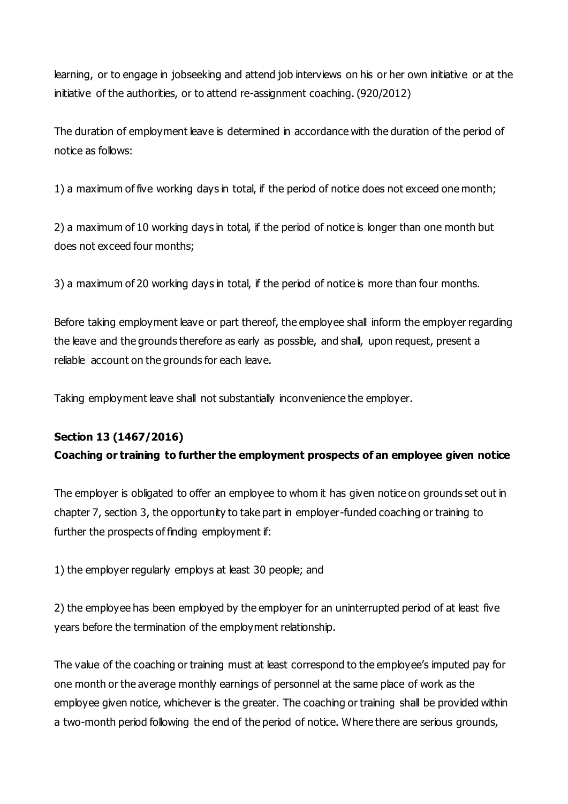learning, or to engage in jobseeking and attend job interviews on his or her own initiative or at the initiative of the authorities, or to attend re-assignment coaching. (920/2012)

The duration of employment leave is determined in accordance with the duration of the period of notice as follows:

1) a maximum of five working days in total, if the period of notice does not exceed one month;

2) a maximum of 10 working days in total, if the period of notice is longer than one month but does not exceed four months;

3) a maximum of 20 working days in total, if the period of notice is more than four months.

Before taking employment leave or part thereof, the employee shall inform the employer regarding the leave and the grounds therefore as early as possible, and shall, upon request, present a reliable account on the grounds for each leave.

Taking employment leave shall not substantially inconvenience the employer.

### **Section 13 (1467/2016)**

### **Coaching or training to further the employment prospects of an employee given notice**

The employer is obligated to offer an employee to whom it has given notice on grounds set out in chapter 7, section 3, the opportunity to take part in employer-funded coaching or training to further the prospects of finding employment if:

1) the employer regularly employs at least 30 people; and

2) the employee has been employed by the employer for an uninterrupted period of at least five years before the termination of the employment relationship.

The value of the coaching or training must at least correspond to the employee's imputed pay for one month or the average monthly earnings of personnel at the same place of work as the employee given notice, whichever is the greater. The coaching or training shall be provided within a two-month period following the end of the period of notice. Where there are serious grounds,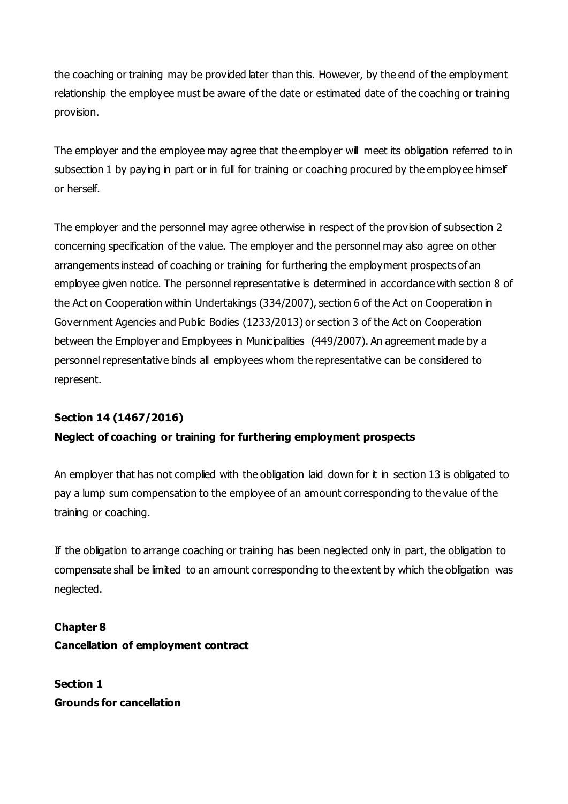the coaching or training may be provided later than this. However, by the end of the employment relationship the employee must be aware of the date or estimated date of the coaching or training provision.

The employer and the employee may agree that the employer will meet its obligation referred to in subsection 1 by paying in part or in full for training or coaching procured by the employee himself or herself.

The employer and the personnel may agree otherwise in respect of the provision of subsection 2 concerning specification of the value. The employer and the personnel may also agree on other arrangements instead of coaching or training for furthering the employment prospects of an employee given notice. The personnel representative is determined in accordance with section 8 of the Act on Cooperation within Undertakings (334/2007), section 6 of the Act on Cooperation in Government Agencies and Public Bodies (1233/2013) or section 3 of the Act on Cooperation between the Employer and Employees in Municipalities (449/2007). An agreement made by a personnel representative binds all employees whom the representative can be considered to represent.

# **Section 14 (1467/2016) Neglect of coaching or training for furthering employment prospects**

An employer that has not complied with the obligation laid down for it in section 13 is obligated to pay a lump sum compensation to the employee of an amount corresponding to the value of the training or coaching.

If the obligation to arrange coaching or training has been neglected only in part, the obligation to compensate shall be limited to an amount corresponding to the extent by which the obligation was neglected.

# **Chapter 8 Cancellation of employment contract**

**Section 1 Grounds for cancellation**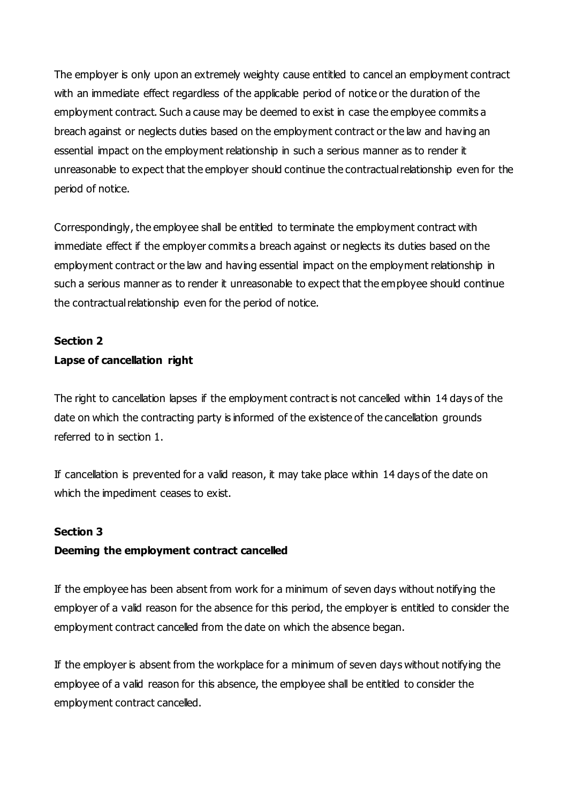The employer is only upon an extremely weighty cause entitled to cancel an employment contract with an immediate effect regardless of the applicable period of notice or the duration of the employment contract. Such a cause may be deemed to exist in case the employee commits a breach against or neglects duties based on the employment contract or the law and having an essential impact on the employment relationship in such a serious manner as to render it unreasonable to expect that the employer should continue the contractual relationship even for the period of notice.

Correspondingly, the employee shall be entitled to terminate the employment contract with immediate effect if the employer commits a breach against or neglects its duties based on the employment contract or the law and having essential impact on the employment relationship in such a serious manner as to render it unreasonable to expect that the employee should continue the contractual relationship even for the period of notice.

### **Section 2**

### **Lapse of cancellation right**

The right to cancellation lapses if the employment contract is not cancelled within 14 days of the date on which the contracting party is informed of the existence of the cancellation grounds referred to in section 1.

If cancellation is prevented for a valid reason, it may take place within 14 days of the date on which the impediment ceases to exist.

#### **Section 3**

### **Deeming the employment contract cancelled**

If the employee has been absent from work for a minimum of seven days without notifying the employer of a valid reason for the absence for this period, the employer is entitled to consider the employment contract cancelled from the date on which the absence began.

If the employer is absent from the workplace for a minimum of seven days without notifying the employee of a valid reason for this absence, the employee shall be entitled to consider the employment contract cancelled.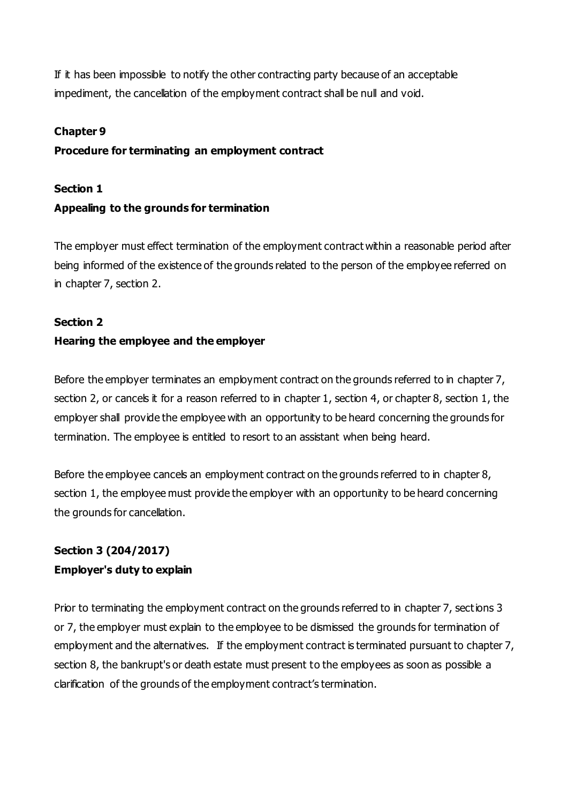If it has been impossible to notify the other contracting party because of an acceptable impediment, the cancellation of the employment contract shall be null and void.

#### **Chapter 9**

### **Procedure for terminating an employment contract**

#### **Section 1**

#### **Appealing to the grounds for termination**

The employer must effect termination of the employment contract within a reasonable period after being informed of the existence of the grounds related to the person of the employee referred on in chapter 7, section 2.

#### **Section 2**

#### **Hearing the employee and the employer**

Before the employer terminates an employment contract on the grounds referred to in chapter 7, section 2, or cancels it for a reason referred to in chapter 1, section 4, or chapter 8, section 1, the employer shall provide the employee with an opportunity to be heard concerning the grounds for termination. The employee is entitled to resort to an assistant when being heard.

Before the employee cancels an employment contract on the grounds referred to in chapter 8, section 1, the employee must provide the employer with an opportunity to be heard concerning the grounds for cancellation.

# **Section 3 (204/2017) Employer's duty to explain**

Prior to terminating the employment contract on the grounds referred to in chapter 7, sections 3 or 7, the employer must explain to the employee to be dismissed the grounds for termination of employment and the alternatives. If the employment contract is terminated pursuant to chapter 7, section 8, the bankrupt's or death estate must present to the employees as soon as possible a clarification of the grounds of the employment contract's termination.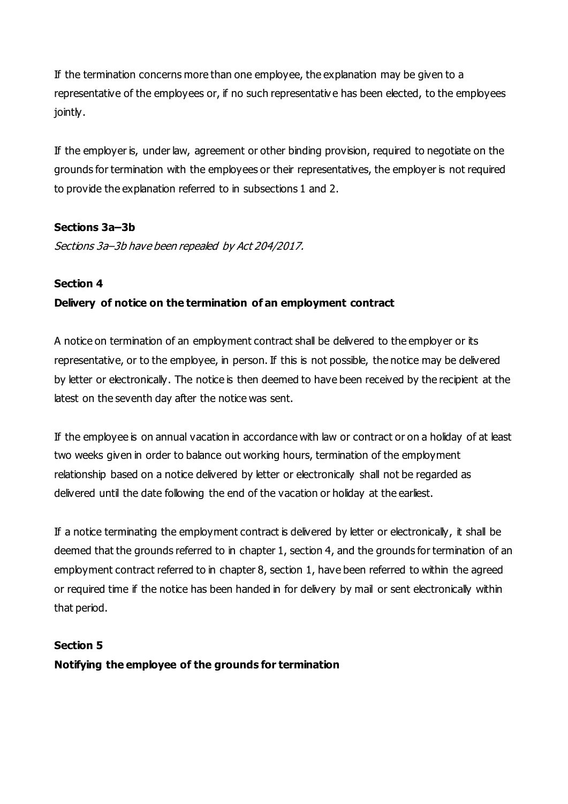If the termination concerns more than one employee, the explanation may be given to a representative of the employees or, if no such representativ e has been elected, to the employees jointly.

If the employer is, under law, agreement or other binding provision, required to negotiate on the grounds for termination with the employees or their representatives, the employer is not required to provide the explanation referred to in subsections 1 and 2.

### **Sections 3a–3b**

Sections 3a–3b have been repealed by Act 204/2017.

### **Section 4**

### **Delivery of notice on the termination of an employment contract**

A notice on termination of an employment contract shall be delivered to the employer or its representative, or to the employee, in person. If this is not possible, the notice may be delivered by letter or electronically. The notice is then deemed to have been received by the recipient at the latest on the seventh day after the notice was sent.

If the employee is on annual vacation in accordance with law or contract or on a holiday of at least two weeks given in order to balance out working hours, termination of the employment relationship based on a notice delivered by letter or electronically shall not be regarded as delivered until the date following the end of the vacation or holiday at the earliest.

If a notice terminating the employment contract is delivered by letter or electronically, it shall be deemed that the grounds referred to in chapter 1, section 4, and the grounds for termination of an employment contract referred to in chapter 8, section 1, have been referred to within the agreed or required time if the notice has been handed in for delivery by mail or sent electronically within that period.

#### **Section 5**

**Notifying the employee of the grounds for termination**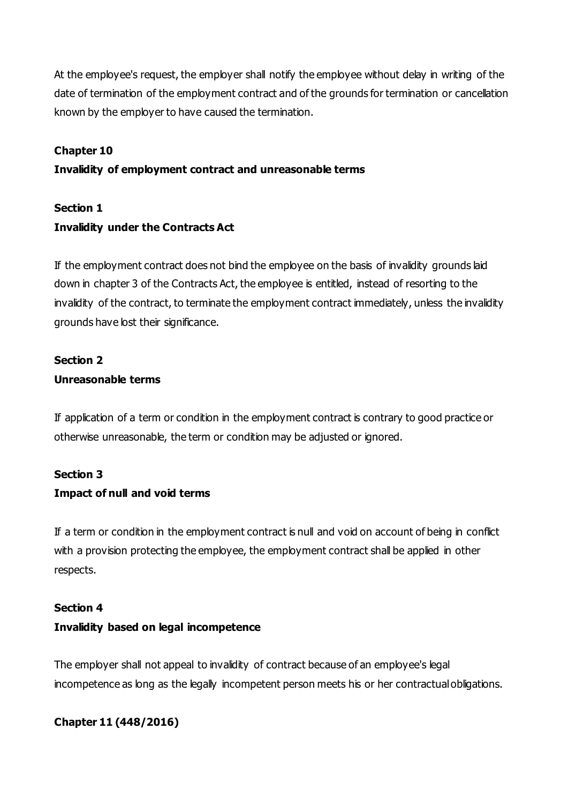At the employee's request, the employer shall notify the employee without delay in writing of the date of termination of the employment contract and of the grounds for termination or cancellation known by the employer to have caused the termination.

### **Chapter 10**

#### **Invalidity of employment contract and unreasonable terms**

### **Section 1**

# **Invalidity under the Contracts Act**

If the employment contract does not bind the employee on the basis of invalidity grounds laid down in chapter 3 of the Contracts Act, the employee is entitled, instead of resorting to the invalidity of the contract, to terminate the employment contract immediately, unless the invalidity grounds have lost their significance.

### **Section 2 Unreasonable terms**

If application of a term or condition in the employment contract is contrary to good practice or otherwise unreasonable, the term or condition may be adjusted or ignored.

#### **Section 3**

#### **Impact of null and void terms**

If a term or condition in the employment contract is null and void on account of being in conflict with a provision protecting the employee, the employment contract shall be applied in other respects.

#### **Section 4**

#### **Invalidity based on legal incompetence**

The employer shall not appeal to invalidity of contract because of an employee's legal incompetence as long as the legally incompetent person meets his or her contractual obligations.

### **Chapter 11 (448/2016)**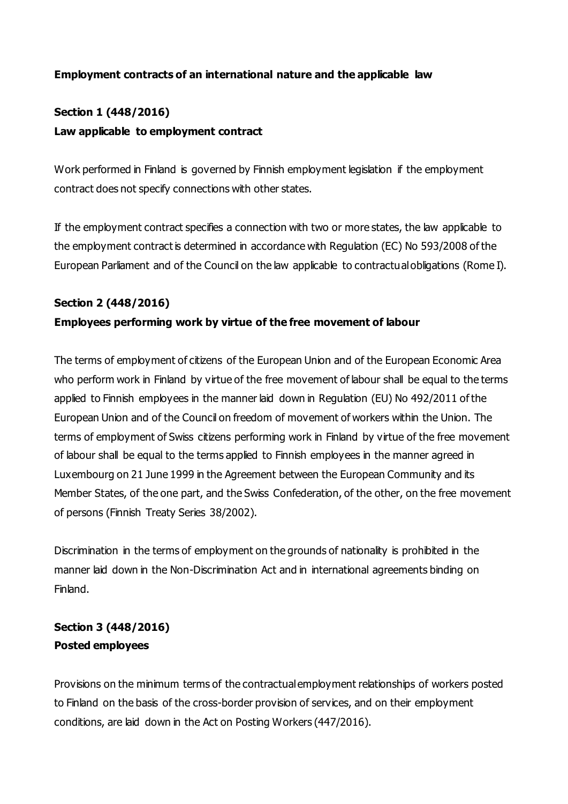### **Employment contracts of an international nature and the applicable law**

# **Section 1 (448/2016) Law applicable to employment contract**

Work performed in Finland is governed by Finnish employment legislation if the employment contract does not specify connections with other states.

If the employment contract specifies a connection with two or more states, the law applicable to the employment contract is determined in accordance with Regulation (EC) No 593/2008 of the European Parliament and of the Council on the law applicable to contractual obligations (Rome I).

#### **Section 2 (448/2016)**

#### **Employees performing work by virtue of the free movement of labour**

The terms of employment of citizens of the European Union and of the European Economic Area who perform work in Finland by virtue of the free movement of labour shall be equal to the terms applied to Finnish employees in the manner laid down in Regulation (EU) No 492/2011 of the European Union and of the Council on freedom of movement of workers within the Union. The terms of employment of Swiss citizens performing work in Finland by virtue of the free movement of labour shall be equal to the terms applied to Finnish employees in the manner agreed in Luxembourg on 21 June 1999 in the Agreement between the European Community and its Member States, of the one part, and the Swiss Confederation, of the other, on the free movement of persons (Finnish Treaty Series 38/2002).

Discrimination in the terms of employment on the grounds of nationality is prohibited in the manner laid down in the Non-Discrimination Act and in international agreements binding on Finland.

## **Section 3 (448/2016) Posted employees**

Provisions on the minimum terms of the contractual employment relationships of workers posted to Finland on the basis of the cross-border provision of services, and on their employment conditions, are laid down in the Act on Posting Workers (447/2016).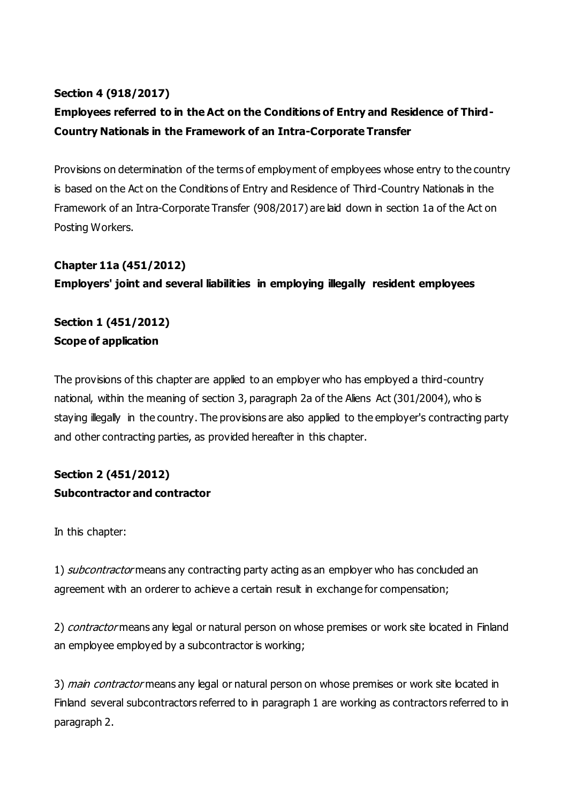## **Section 4 (918/2017)**

# **Employees referred to in the Act on the Conditions of Entry and Residence of Third-Country Nationals in the Framework of an Intra-Corporate Transfer**

Provisions on determination of the terms of employment of employees whose entry to the country is based on the Act on the Conditions of Entry and Residence of Third-Country Nationals in the Framework of an Intra-Corporate Transfer (908/2017) are laid down in section 1a of the Act on Posting Workers.

### **Chapter 11a (451/2012)**

**Employers' joint and several liabilities in employing illegally resident employees**

**Section 1 (451/2012) Scope of application**

The provisions of this chapter are applied to an employer who has employed a third-country national, within the meaning of section 3, paragraph 2a of the Aliens Act (301/2004), who is staying illegally in the country. The provisions are also applied to the employer's contracting party and other contracting parties, as provided hereafter in this chapter.

# **Section 2 (451/2012) Subcontractor and contractor**

In this chapter:

1) *subcontractor* means any contracting party acting as an employer who has concluded an agreement with an orderer to achieve a certain result in exchange for compensation;

2) contractor means any legal or natural person on whose premises or work site located in Finland an employee employed by a subcontractor is working;

3) main contractor means any legal or natural person on whose premises or work site located in Finland several subcontractors referred to in paragraph 1 are working as contractors referred to in paragraph 2.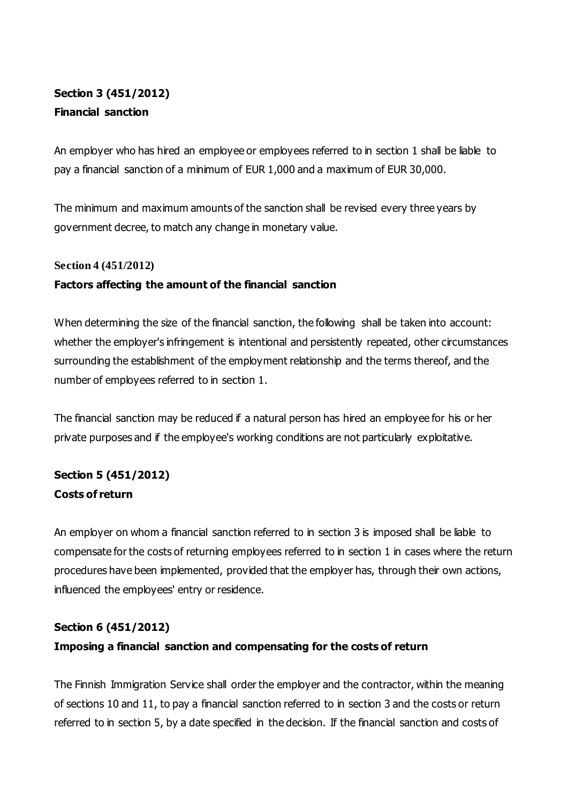# **Section 3 (451/2012) Financial sanction**

An employer who has hired an employee or employees referred to in section 1 shall be liable to pay a financial sanction of a minimum of EUR 1,000 and a maximum of EUR 30,000.

The minimum and maximum amounts of the sanction shall be revised every three years by government decree, to match any change in monetary value.

#### **Section 4 (451/2012)**

### **Factors affecting the amount of the financial sanction**

When determining the size of the financial sanction, the following shall be taken into account: whether the employer's infringement is intentional and persistently repeated, other circumstances surrounding the establishment of the employment relationship and the terms thereof, and the number of employees referred to in section 1.

The financial sanction may be reduced if a natural person has hired an employee for his or her private purposes and if the employee's working conditions are not particularly exploitative.

# **Section 5 (451/2012) Costs of return**

An employer on whom a financial sanction referred to in section 3 is imposed shall be liable to compensate for the costs of returning employees referred to in section 1 in cases where the return procedures have been implemented, provided that the employer has, through their own actions, influenced the employees' entry or residence.

# **Section 6 (451/2012) Imposing a financial sanction and compensating for the costs of return**

The Finnish Immigration Service shall order the employer and the contractor, within the meaning of sections 10 and 11, to pay a financial sanction referred to in section 3 and the costs or return referred to in section 5, by a date specified in the decision. If the financial sanction and costs of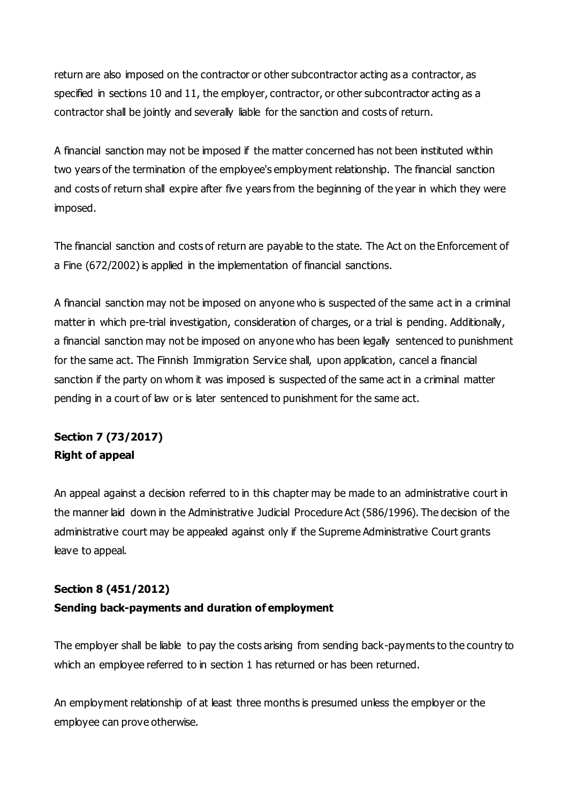return are also imposed on the contractor or other subcontractor acting as a contractor, as specified in sections 10 and 11, the employer, contractor, or other subcontractor acting as a contractor shall be jointly and severally liable for the sanction and costs of return.

A financial sanction may not be imposed if the matter concerned has not been instituted within two years of the termination of the employee's employment relationship. The financial sanction and costs of return shall expire after five years from the beginning of the year in which they were imposed.

The financial sanction and costs of return are payable to the state. The Act on the Enforcement of a Fine (672/2002) is applied in the implementation of financial sanctions.

A financial sanction may not be imposed on anyone who is suspected of the same act in a criminal matter in which pre-trial investigation, consideration of charges, or a trial is pending. Additionally, a financial sanction may not be imposed on anyone who has been legally sentenced to punishment for the same act. The Finnish Immigration Service shall, upon application, cancel a financial sanction if the party on whom it was imposed is suspected of the same act in a criminal matter pending in a court of law or is later sentenced to punishment for the same act.

# **Section 7 (73/2017) Right of appeal**

An appeal against a decision referred to in this chapter may be made to an administrative court in the manner laid down in the Administrative Judicial Procedure Act (586/1996). The decision of the administrative court may be appealed against only if the Supreme Administrative Court grants leave to appeal.

# **Section 8 (451/2012) Sending back-payments and duration of employment**

The employer shall be liable to pay the costs arising from sending back-payments to the country to which an employee referred to in section 1 has returned or has been returned.

An employment relationship of at least three months is presumed unless the employer or the employee can prove otherwise.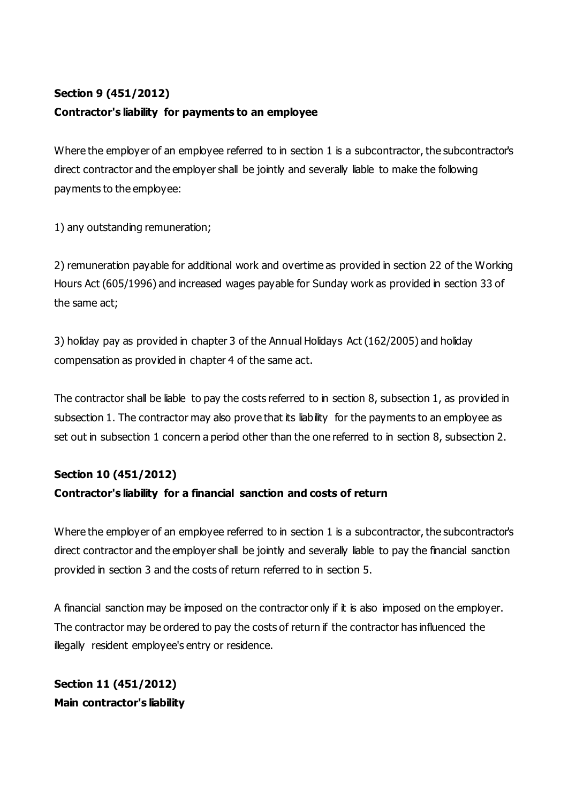# **Section 9 (451/2012)**

### **Contractor's liability for payments to an employee**

Where the employer of an employee referred to in section 1 is a subcontractor, the subcontractor's direct contractor and the employer shall be jointly and severally liable to make the following payments to the employee:

1) any outstanding remuneration;

2) remuneration payable for additional work and overtime as provided in section 22 of the Working Hours Act (605/1996) and increased wages payable for Sunday work as provided in section 33 of the same act;

3) holiday pay as provided in chapter 3 of the Annual Holidays Act (162/2005) and holiday compensation as provided in chapter 4 of the same act.

The contractor shall be liable to pay the costs referred to in section 8, subsection 1, as provided in subsection 1. The contractor may also prove that its liability for the payments to an employee as set out in subsection 1 concern a period other than the one referred to in section 8, subsection 2.

### **Section 10 (451/2012)**

### **Contractor's liability for a financial sanction and costs of return**

Where the employer of an employee referred to in section 1 is a subcontractor, the subcontractor's direct contractor and the employer shall be jointly and severally liable to pay the financial sanction provided in section 3 and the costs of return referred to in section 5.

A financial sanction may be imposed on the contractor only if it is also imposed on the employer. The contractor may be ordered to pay the costs of return if the contractor has influenced the illegally resident employee's entry or residence.

**Section 11 (451/2012) Main contractor's liability**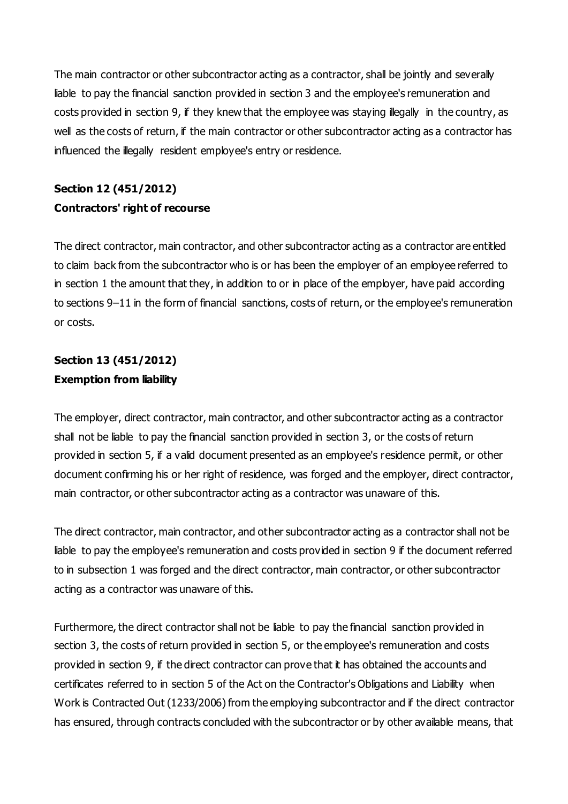The main contractor or other subcontractor acting as a contractor, shall be jointly and severally liable to pay the financial sanction provided in section 3 and the employee's remuneration and costs provided in section 9, if they knew that the employee was staying illegally in the country, as well as the costs of return, if the main contractor or other subcontractor acting as a contractor has influenced the illegally resident employee's entry or residence.

# **Section 12 (451/2012) Contractors' right of recourse**

The direct contractor, main contractor, and other subcontractor acting as a contractor are entitled to claim back from the subcontractor who is or has been the employer of an employee referred to in section 1 the amount that they, in addition to or in place of the employer, have paid according to sections 9–11 in the form of financial sanctions, costs of return, or the employee's remuneration or costs.

# **Section 13 (451/2012) Exemption from liability**

The employer, direct contractor, main contractor, and other subcontractor acting as a contractor shall not be liable to pay the financial sanction provided in section 3, or the costs of return provided in section 5, if a valid document presented as an employee's residence permit, or other document confirming his or her right of residence, was forged and the employer, direct contractor, main contractor, or other subcontractor acting as a contractor was unaware of this.

The direct contractor, main contractor, and other subcontractor acting as a contractor shall not be liable to pay the employee's remuneration and costs provided in section 9 if the document referred to in subsection 1 was forged and the direct contractor, main contractor, or other subcontractor acting as a contractor was unaware of this.

Furthermore, the direct contractor shall not be liable to pay the financial sanction provided in section 3, the costs of return provided in section 5, or the employee's remuneration and costs provided in section 9, if the direct contractor can prove that it has obtained the accounts and certificates referred to in section 5 of the Act on the Contractor's Obligations and Liability when Work is Contracted Out (1233/2006) from the employing subcontractor and if the direct contractor has ensured, through contracts concluded with the subcontractor or by other available means, that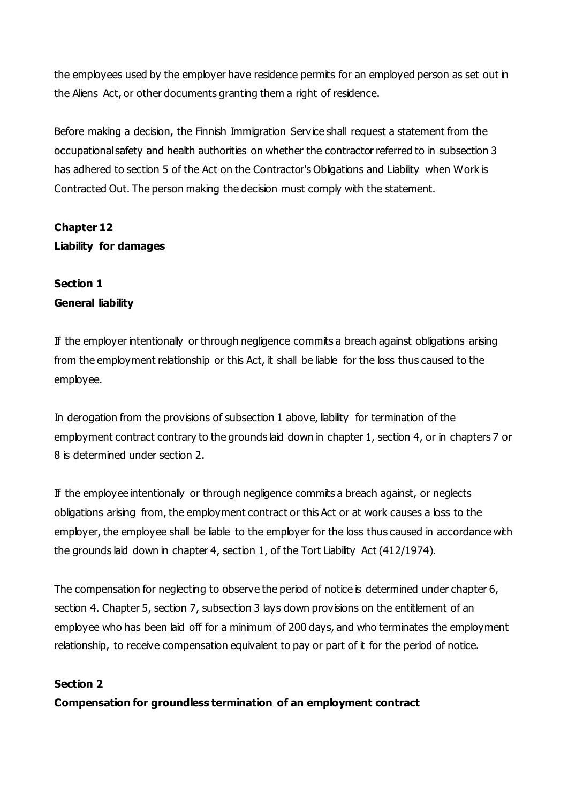the employees used by the employer have residence permits for an employed person as set out in the Aliens Act, or other documents granting them a right of residence.

Before making a decision, the Finnish Immigration Service shall request a statement from the occupational safety and health authorities on whether the contractor referred to in subsection 3 has adhered to section 5 of the Act on the Contractor's Obligations and Liability when Work is Contracted Out. The person making the decision must comply with the statement.

# **Chapter 12 Liability for damages**

# **Section 1 General liability**

If the employer intentionally or through negligence commits a breach against obligations arising from the employment relationship or this Act, it shall be liable for the loss thus caused to the employee.

In derogation from the provisions of subsection 1 above, liability for termination of the employment contract contrary to the grounds laid down in chapter 1, section 4, or in chapters 7 or 8 is determined under section 2.

If the employee intentionally or through negligence commits a breach against, or neglects obligations arising from, the employment contract or this Act or at work causes a loss to the employer, the employee shall be liable to the employer for the loss thus caused in accordance with the grounds laid down in chapter 4, section 1, of the Tort Liability Act (412/1974).

The compensation for neglecting to observe the period of notice is determined under chapter 6, section 4. Chapter 5, section 7, subsection 3 lays down provisions on the entitlement of an employee who has been laid off for a minimum of 200 days, and who terminates the employment relationship, to receive compensation equivalent to pay or part of it for the period of notice.

### **Section 2**

**Compensation for groundless termination of an employment contract**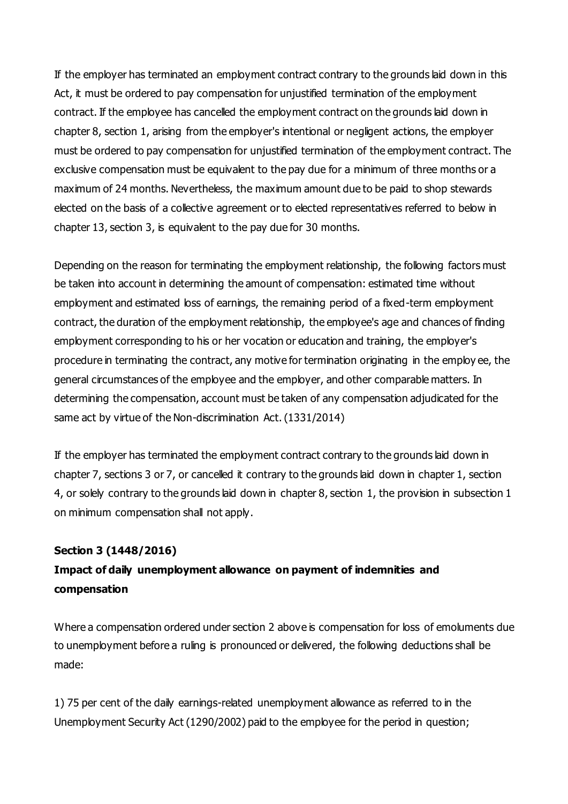If the employer has terminated an employment contract contrary to the grounds laid down in this Act, it must be ordered to pay compensation for unjustified termination of the employment contract. If the employee has cancelled the employment contract on the grounds laid down in chapter 8, section 1, arising from the employer's intentional or negligent actions, the employer must be ordered to pay compensation for unjustified termination of the employment contract. The exclusive compensation must be equivalent to the pay due for a minimum of three months or a maximum of 24 months. Nevertheless, the maximum amount due to be paid to shop stewards elected on the basis of a collective agreement or to elected representatives referred to below in chapter 13, section 3, is equivalent to the pay due for 30 months.

Depending on the reason for terminating the employment relationship, the following factors must be taken into account in determining the amount of compensation: estimated time without employment and estimated loss of earnings, the remaining period of a fixed-term employment contract, the duration of the employment relationship, the employee's age and chances of finding employment corresponding to his or her vocation or education and training, the employer's procedure in terminating the contract, any motive for termination originating in the employ ee, the general circumstances of the employee and the employer, and other comparable matters. In determining the compensation, account must be taken of any compensation adjudicated for the same act by virtue of the Non-discrimination Act. (1331/2014)

If the employer has terminated the employment contract contrary to the grounds laid down in chapter 7, sections 3 or 7, or cancelled it contrary to the grounds laid down in chapter 1, section 4, or solely contrary to the grounds laid down in chapter 8, section 1, the provision in subsection 1 on minimum compensation shall not apply.

#### **Section 3 (1448/2016)**

# **Impact of daily unemployment allowance on payment of indemnities and compensation**

Where a compensation ordered under section 2 above is compensation for loss of emoluments due to unemployment before a ruling is pronounced or delivered, the following deductions shall be made:

1) 75 per cent of the daily earnings-related unemployment allowance as referred to in the Unemployment Security Act (1290/2002) paid to the employee for the period in question;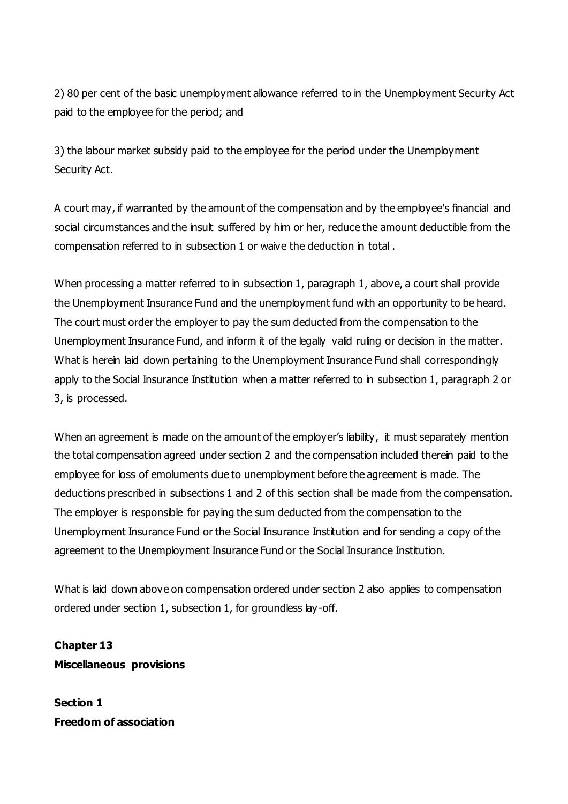2) 80 per cent of the basic unemployment allowance referred to in the Unemployment Security Act paid to the employee for the period; and

3) the labour market subsidy paid to the employee for the period under the Unemployment Security Act.

A court may, if warranted by the amount of the compensation and by the employee's financial and social circumstances and the insult suffered by him or her, reduce the amount deductible from the compensation referred to in subsection 1 or waive the deduction in total .

When processing a matter referred to in subsection 1, paragraph 1, above, a court shall provide the Unemployment Insurance Fund and the unemployment fund with an opportunity to be heard. The court must order the employer to pay the sum deducted from the compensation to the Unemployment Insurance Fund, and inform it of the legally valid ruling or decision in the matter. What is herein laid down pertaining to the Unemployment Insurance Fund shall correspondingly apply to the Social Insurance Institution when a matter referred to in subsection 1, paragraph 2 or 3, is processed.

When an agreement is made on the amount of the employer's liability, it must separately mention the total compensation agreed under section 2 and the compensation included therein paid to the employee for loss of emoluments due to unemployment before the agreement is made. The deductions prescribed in subsections 1 and 2 of this section shall be made from the compensation. The employer is responsible for paying the sum deducted from the compensation to the Unemployment Insurance Fund or the Social Insurance Institution and for sending a copy of the agreement to the Unemployment Insurance Fund or the Social Insurance Institution.

What is laid down above on compensation ordered under section 2 also applies to compensation ordered under section 1, subsection 1, for groundless lay -off.

**Chapter 13 Miscellaneous provisions**

**Section 1 Freedom of association**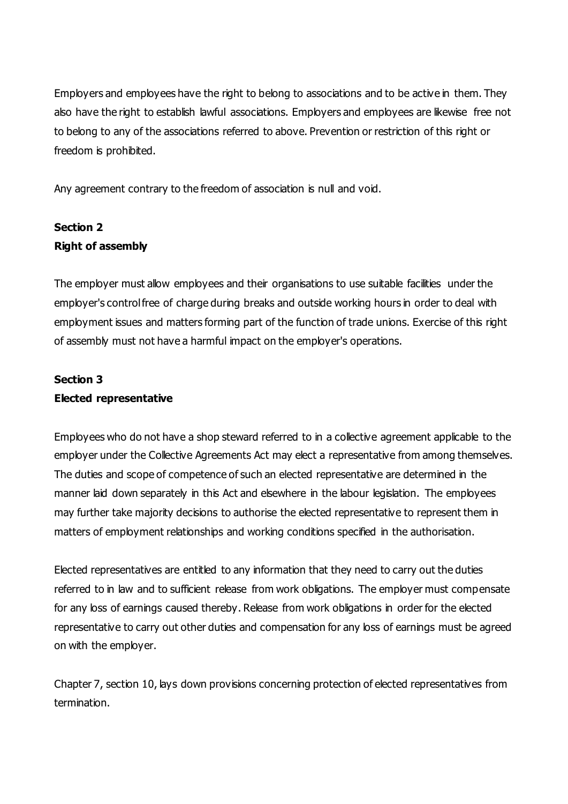Employers and employees have the right to belong to associations and to be active in them. They also have the right to establish lawful associations. Employers and employees are likewise free not to belong to any of the associations referred to above. Prevention or restriction of this right or freedom is prohibited.

Any agreement contrary to the freedom of association is null and void.

# **Section 2 Right of assembly**

The employer must allow employees and their organisations to use suitable facilities under the employer's control free of charge during breaks and outside working hours in order to deal with employment issues and matters forming part of the function of trade unions. Exercise of this right of assembly must not have a harmful impact on the employer's operations.

# **Section 3**

### **Elected representative**

Employees who do not have a shop steward referred to in a collective agreement applicable to the employer under the Collective Agreements Act may elect a representative from among themselves. The duties and scope of competence of such an elected representative are determined in the manner laid down separately in this Act and elsewhere in the labour legislation. The employees may further take majority decisions to authorise the elected representative to represent them in matters of employment relationships and working conditions specified in the authorisation.

Elected representatives are entitled to any information that they need to carry out the duties referred to in law and to sufficient release from work obligations. The employer must compensate for any loss of earnings caused thereby. Release from work obligations in order for the elected representative to carry out other duties and compensation for any loss of earnings must be agreed on with the employer.

Chapter 7, section 10, lays down provisions concerning protection of elected representatives from termination.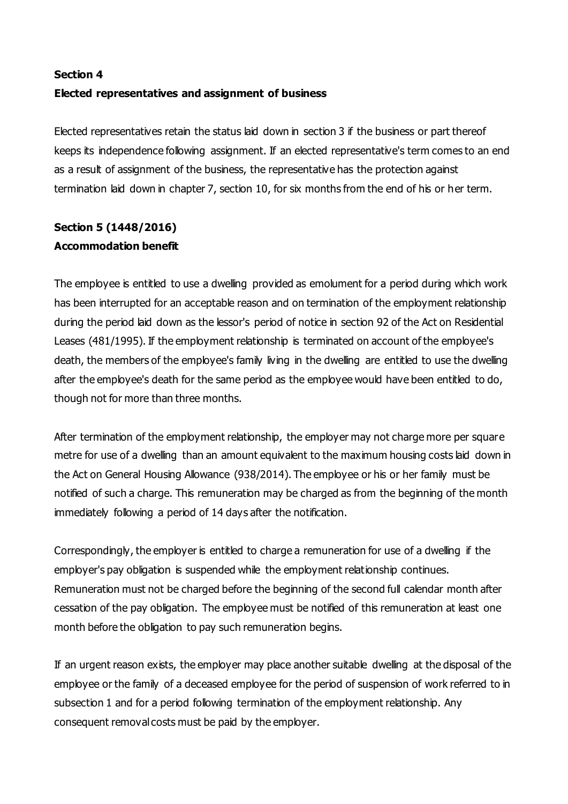# **Section 4 Elected representatives and assignment of business**

Elected representatives retain the status laid down in section 3 if the business or part thereof keeps its independence following assignment. If an elected representative's term comes to an end as a result of assignment of the business, the representative has the protection against termination laid down in chapter 7, section 10, for six months from the end of his or her term.

# **Section 5 (1448/2016) Accommodation benefit**

The employee is entitled to use a dwelling provided as emolument for a period during which work has been interrupted for an acceptable reason and on termination of the employment relationship during the period laid down as the lessor's period of notice in section 92 of the Act on Residential Leases (481/1995). If the employment relationship is terminated on account of the employee's death, the members of the employee's family living in the dwelling are entitled to use the dwelling after the employee's death for the same period as the employee would have been entitled to do, though not for more than three months.

After termination of the employment relationship, the employer may not charge more per square metre for use of a dwelling than an amount equivalent to the maximum housing costs laid down in the Act on General Housing Allowance (938/2014). The employee or his or her family must be notified of such a charge. This remuneration may be charged as from the beginning of the month immediately following a period of 14 days after the notification.

Correspondingly, the employer is entitled to charge a remuneration for use of a dwelling if the employer's pay obligation is suspended while the employment relationship continues. Remuneration must not be charged before the beginning of the second full calendar month after cessation of the pay obligation. The employee must be notified of this remuneration at least one month before the obligation to pay such remuneration begins.

If an urgent reason exists, the employer may place another suitable dwelling at the disposal of the employee or the family of a deceased employee for the period of suspension of work referred to in subsection 1 and for a period following termination of the employment relationship. Any consequent removal costs must be paid by the employer.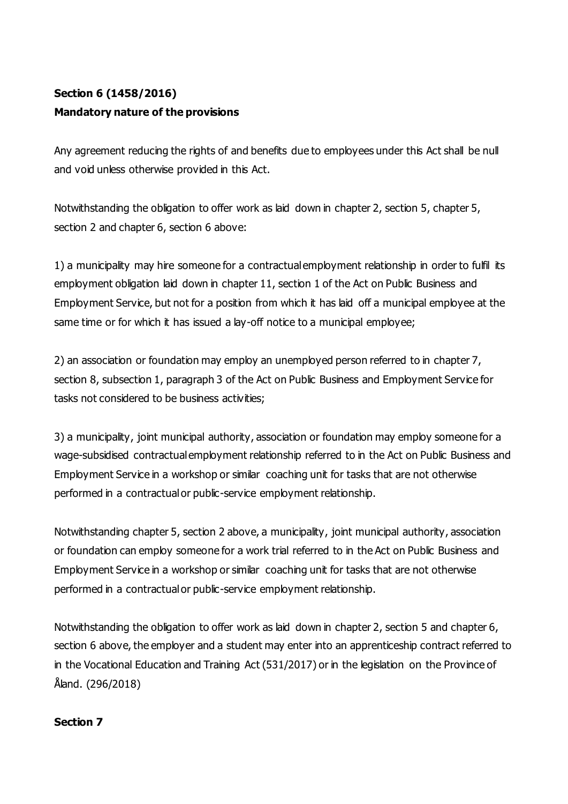# **Section 6 (1458/2016) Mandatory nature of the provisions**

Any agreement reducing the rights of and benefits due to employees under this Act shall be null and void unless otherwise provided in this Act.

Notwithstanding the obligation to offer work as laid down in chapter 2, section 5, chapter 5, section 2 and chapter 6, section 6 above:

1) a municipality may hire someone for a contractual employment relationship in order to fulfil its employment obligation laid down in chapter 11, section 1 of the Act on Public Business and Employment Service, but not for a position from which it has laid off a municipal employee at the same time or for which it has issued a lay-off notice to a municipal employee;

2) an association or foundation may employ an unemployed person referred to in chapter 7, section 8, subsection 1, paragraph 3 of the Act on Public Business and Employment Service for tasks not considered to be business activities;

3) a municipality, joint municipal authority, association or foundation may employ someone for a wage-subsidised contractual employment relationship referred to in the Act on Public Business and Employment Service in a workshop or similar coaching unit for tasks that are not otherwise performed in a contractual or public-service employment relationship.

Notwithstanding chapter 5, section 2 above, a municipality, joint municipal authority, association or foundation can employ someone for a work trial referred to in the Act on Public Business and Employment Service in a workshop or similar coaching unit for tasks that are not otherwise performed in a contractual or public-service employment relationship.

Notwithstanding the obligation to offer work as laid down in chapter 2, section 5 and chapter 6, section 6 above, the employer and a student may enter into an apprenticeship contract referred to in the Vocational Education and Training Act (531/2017) or in the legislation on the Province of Åland. (296/2018)

### **Section 7**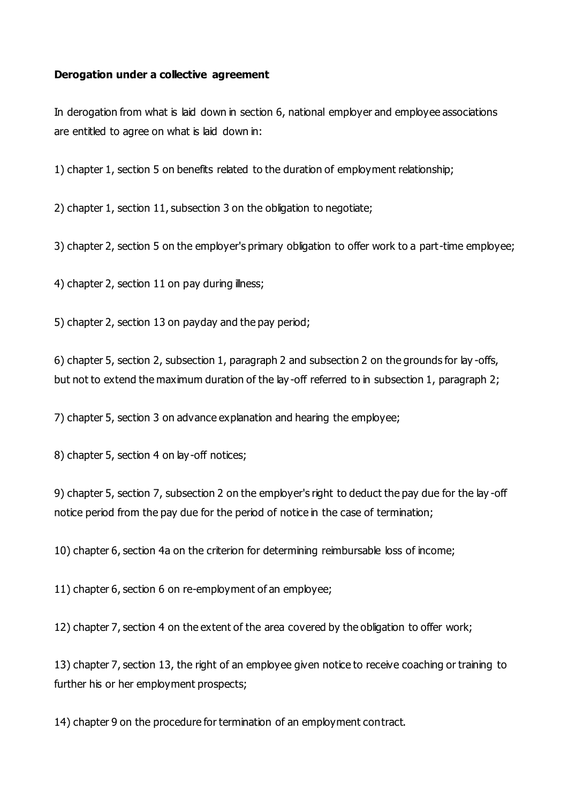#### **Derogation under a collective agreement**

In derogation from what is laid down in section 6, national employer and employee associations are entitled to agree on what is laid down in:

1) chapter 1, section 5 on benefits related to the duration of employment relationship;

2) chapter 1, section 11, subsection 3 on the obligation to negotiate;

3) chapter 2, section 5 on the employer's primary obligation to offer work to a part-time employee;

4) chapter 2, section 11 on pay during illness;

5) chapter 2, section 13 on payday and the pay period;

6) chapter 5, section 2, subsection 1, paragraph 2 and subsection 2 on the grounds for lay -offs, but not to extend the maximum duration of the lay -off referred to in subsection 1, paragraph 2;

7) chapter 5, section 3 on advance explanation and hearing the employee;

8) chapter 5, section 4 on lay-off notices;

9) chapter 5, section 7, subsection 2 on the employer's right to deduct the pay due for the lay -off notice period from the pay due for the period of notice in the case of termination;

10) chapter 6, section 4a on the criterion for determining reimbursable loss of income;

11) chapter 6, section 6 on re-employment of an employee;

12) chapter 7, section 4 on the extent of the area covered by the obligation to offer work;

13) chapter 7, section 13, the right of an employee given notice to receive coaching or training to further his or her employment prospects;

14) chapter 9 on the procedure for termination of an employment contract.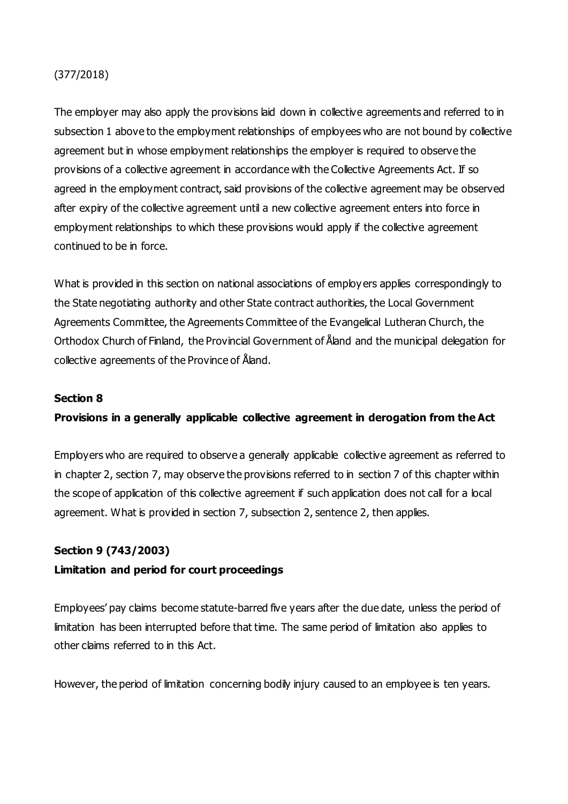### (377/2018)

The employer may also apply the provisions laid down in collective agreements and referred to in subsection 1 above to the employment relationships of employees who are not bound by collective agreement but in whose employment relationships the employer is required to observe the provisions of a collective agreement in accordance with the Collective Agreements Act. If so agreed in the employment contract, said provisions of the collective agreement may be observed after expiry of the collective agreement until a new collective agreement enters into force in employment relationships to which these provisions would apply if the collective agreement continued to be in force.

What is provided in this section on national associations of employ ers applies correspondingly to the State negotiating authority and other State contract authorities, the Local Government Agreements Committee, the Agreements Committee of the Evangelical Lutheran Church, the Orthodox Church of Finland, the Provincial Government of Åland and the municipal delegation for collective agreements of the Province of Åland.

#### **Section 8**

#### **Provisions in a generally applicable collective agreement in derogation from the Act**

Employers who are required to observe a generally applicable collective agreement as referred to in chapter 2, section 7, may observe the provisions referred to in section 7 of this chapter within the scope of application of this collective agreement if such application does not call for a local agreement. What is provided in section 7, subsection 2, sentence 2, then applies.

# **Section 9 (743/2003) Limitation and period for court proceedings**

Employees' pay claims become statute-barred five years after the due date, unless the period of limitation has been interrupted before that time. The same period of limitation also applies to other claims referred to in this Act.

However, the period of limitation concerning bodily injury caused to an employee is ten years.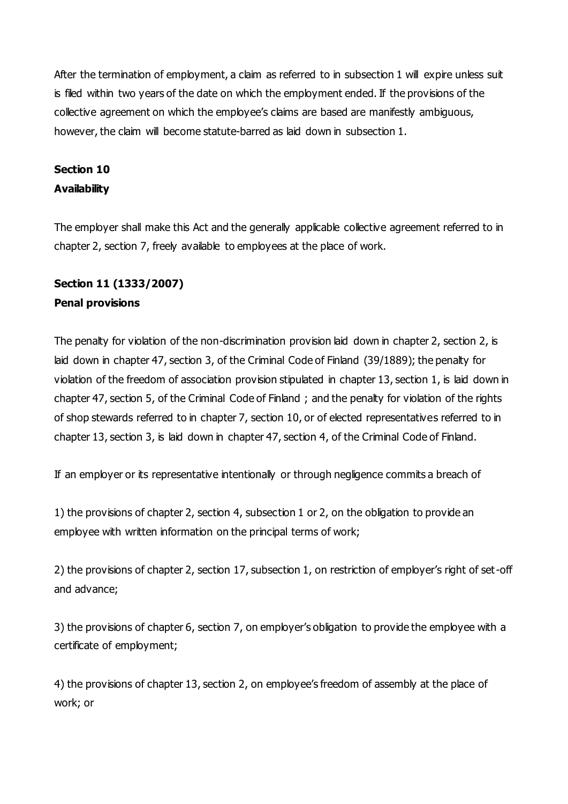After the termination of employment, a claim as referred to in subsection 1 will expire unless suit is filed within two years of the date on which the employment ended. If the provisions of the collective agreement on which the employee's claims are based are manifestly ambiguous, however, the claim will become statute-barred as laid down in subsection 1.

# **Section 10 Availability**

The employer shall make this Act and the generally applicable collective agreement referred to in chapter 2, section 7, freely available to employees at the place of work.

# **Section 11 (1333/2007) Penal provisions**

The penalty for violation of the non-discrimination provision laid down in chapter 2, section 2, is laid down in chapter 47, section 3, of the Criminal Code of Finland (39/1889); the penalty for violation of the freedom of association provision stipulated in chapter 13, section 1, is laid down in chapter 47, section 5, of the Criminal Code of Finland ; and the penalty for violation of the rights of shop stewards referred to in chapter 7, section 10, or of elected representatives referred to in chapter 13, section 3, is laid down in chapter 47, section 4, of the Criminal Code of Finland.

If an employer or its representative intentionally or through negligence commits a breach of

1) the provisions of chapter 2, section 4, subsection 1 or 2, on the obligation to provide an employee with written information on the principal terms of work;

2) the provisions of chapter 2, section 17, subsection 1, on restriction of employer's right of set-off and advance;

3) the provisions of chapter 6, section 7, on employer's obligation to provide the employee with a certificate of employment;

4) the provisions of chapter 13, section 2, on employee's freedom of assembly at the place of work; or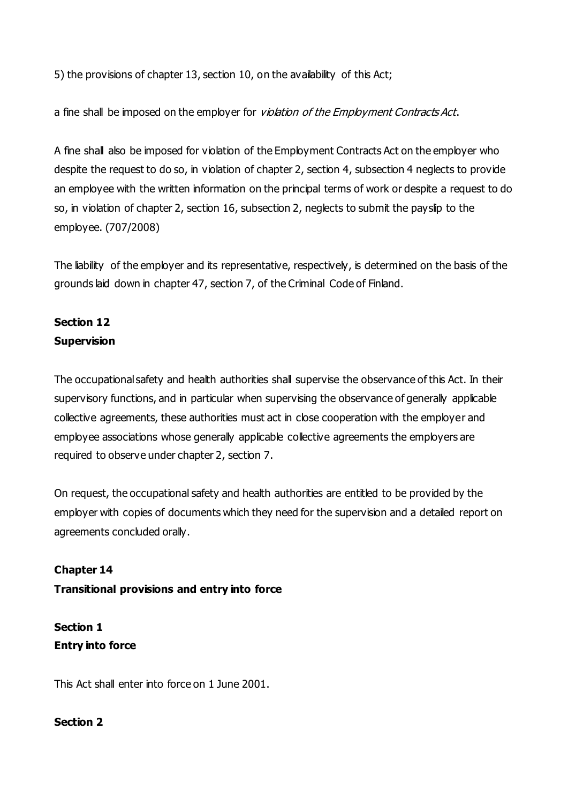5) the provisions of chapter 13, section 10, on the availability of this Act;

a fine shall be imposed on the employer for *violation of the Employment Contracts Act*.

A fine shall also be imposed for violation of the Employment Contracts Act on the employer who despite the request to do so, in violation of chapter 2, section 4, subsection 4 neglects to provide an employee with the written information on the principal terms of work or despite a request to do so, in violation of chapter 2, section 16, subsection 2, neglects to submit the payslip to the employee. (707/2008)

The liability of the employer and its representative, respectively, is determined on the basis of the grounds laid down in chapter 47, section 7, of the Criminal Code of Finland.

# **Section 12 Supervision**

The occupational safety and health authorities shall supervise the observance of this Act. In their supervisory functions, and in particular when supervising the observance of generally applicable collective agreements, these authorities must act in close cooperation with the employer and employee associations whose generally applicable collective agreements the employers are required to observe under chapter 2, section 7.

On request, the occupational safety and health authorities are entitled to be provided by the employer with copies of documents which they need for the supervision and a detailed report on agreements concluded orally.

**Chapter 14 Transitional provisions and entry into force**

**Section 1 Entry into force**

This Act shall enter into force on 1 June 2001.

### **Section 2**